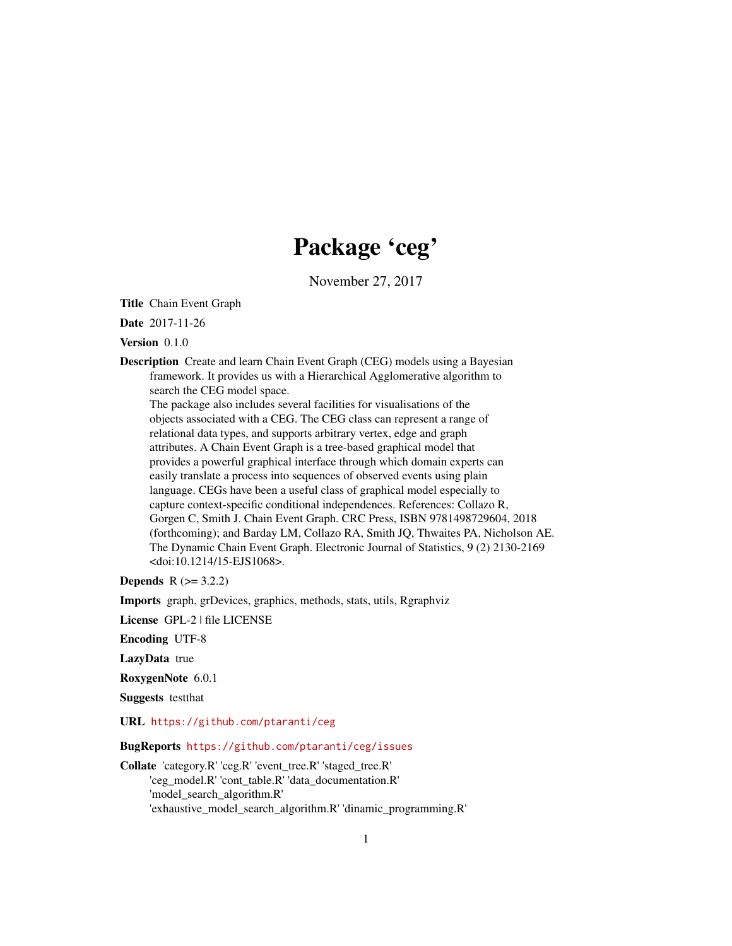# Package 'ceg'

November 27, 2017

Title Chain Event Graph

Date 2017-11-26

Version 0.1.0

Description Create and learn Chain Event Graph (CEG) models using a Bayesian framework. It provides us with a Hierarchical Agglomerative algorithm to search the CEG model space. The package also includes several facilities for visualisations of the

objects associated with a CEG. The CEG class can represent a range of relational data types, and supports arbitrary vertex, edge and graph attributes. A Chain Event Graph is a tree-based graphical model that provides a powerful graphical interface through which domain experts can easily translate a process into sequences of observed events using plain language. CEGs have been a useful class of graphical model especially to capture context-specific conditional independences. References: Collazo R, Gorgen C, Smith J. Chain Event Graph. CRC Press, ISBN 9781498729604, 2018 (forthcoming); and Barday LM, Collazo RA, Smith JQ, Thwaites PA, Nicholson AE. The Dynamic Chain Event Graph. Electronic Journal of Statistics, 9 (2) 2130-2169 <doi:10.1214/15-EJS1068>.

**Depends**  $R (= 3.2.2)$ 

Imports graph, grDevices, graphics, methods, stats, utils, Rgraphviz

License GPL-2 | file LICENSE

Encoding UTF-8

LazyData true

RoxygenNote 6.0.1

Suggests testthat

URL <https://github.com/ptaranti/ceg>

BugReports <https://github.com/ptaranti/ceg/issues>

Collate 'category.R' 'ceg.R' 'event\_tree.R' 'staged\_tree.R' 'ceg\_model.R' 'cont\_table.R' 'data\_documentation.R' 'model\_search\_algorithm.R' 'exhaustive\_model\_search\_algorithm.R' 'dinamic\_programming.R'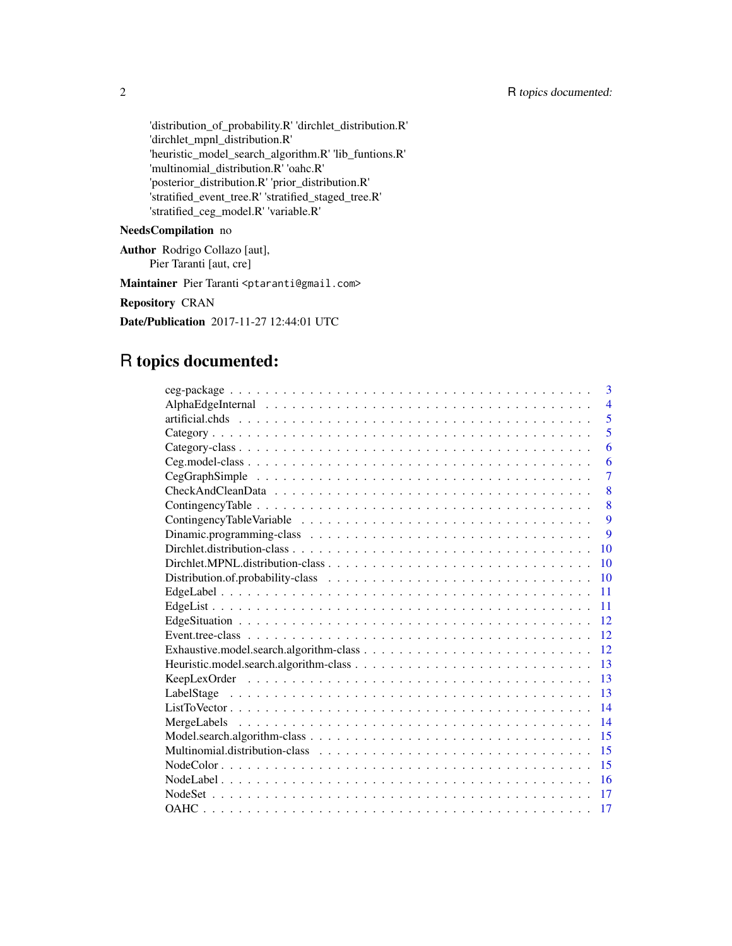'distribution\_of\_probability.R' 'dirchlet\_distribution.R' 'dirchlet\_mpnl\_distribution.R' 'heuristic\_model\_search\_algorithm.R' 'lib\_funtions.R' 'multinomial\_distribution.R' 'oahc.R' 'posterior\_distribution.R' 'prior\_distribution.R' 'stratified\_event\_tree.R' 'stratified\_staged\_tree.R' 'stratified\_ceg\_model.R' 'variable.R'

### NeedsCompilation no

Author Rodrigo Collazo [aut], Pier Taranti [aut, cre]

Maintainer Pier Taranti <ptaranti@gmail.com>

Repository CRAN

Date/Publication 2017-11-27 12:44:01 UTC

# R topics documented:

| 3              |
|----------------|
| $\overline{4}$ |
| 5              |
| 5              |
| 6              |
| 6              |
| $\overline{7}$ |
| 8              |
| 8              |
| 9              |
| 9              |
| 10             |
| 10             |
| 10             |
| 11             |
| 11             |
| 12             |
| 12             |
| 12             |
| 13             |
| 13             |
| 13             |
| 14             |
| 14             |
| 15             |
| 15             |
| 15             |
| 16             |
| 17             |
| 17             |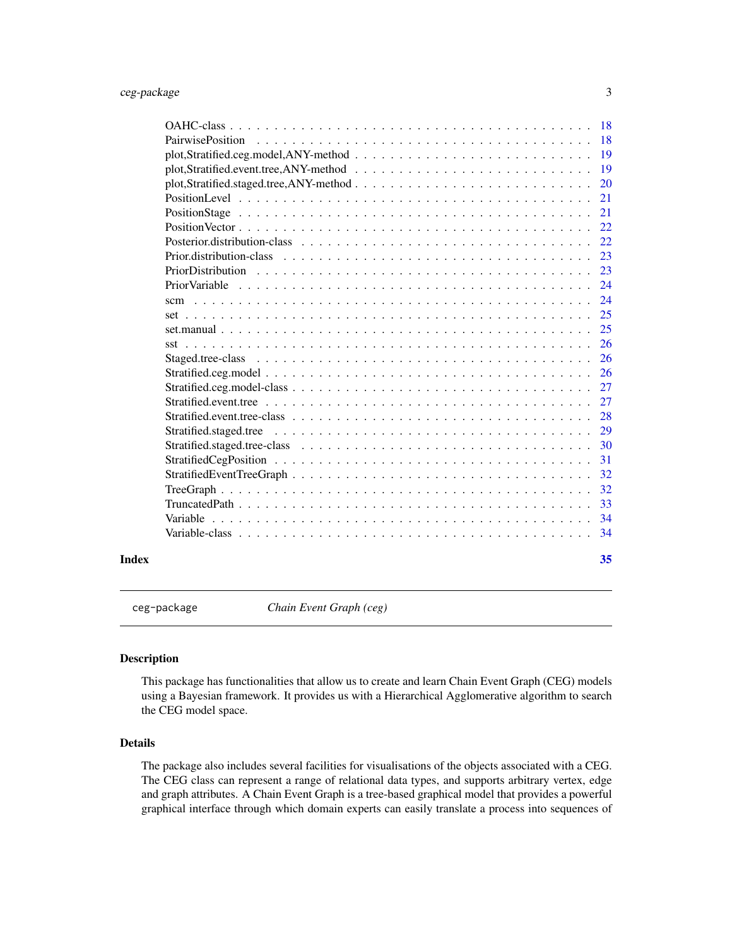<span id="page-2-0"></span>

|       |                          | 18  |
|-------|--------------------------|-----|
|       | <b>PairwisePosition</b>  | 18  |
|       |                          | 19  |
|       |                          | 19  |
|       |                          | 20  |
|       |                          | 21  |
|       |                          | 21  |
|       |                          | 22  |
|       |                          | 22. |
|       | Prior distribution-class | 23  |
|       | PriorDistribution        | 23  |
|       |                          | 24  |
|       | scm                      | 24  |
|       |                          | 25  |
|       |                          | 25  |
|       | sst                      | 26  |
|       |                          | 26  |
|       |                          | 26  |
|       |                          | 27  |
|       |                          | 27  |
|       |                          | 28  |
|       |                          | 29  |
|       |                          | 30  |
|       |                          | 31  |
|       |                          | 32  |
|       |                          | 32  |
|       |                          | 33  |
|       |                          | 34  |
|       |                          | 34  |
| Index |                          | 35  |

ceg-package *Chain Event Graph (ceg)*

#### Description

This package has functionalities that allow us to create and learn Chain Event Graph (CEG) models using a Bayesian framework. It provides us with a Hierarchical Agglomerative algorithm to search the CEG model space.

### Details

The package also includes several facilities for visualisations of the objects associated with a CEG. The CEG class can represent a range of relational data types, and supports arbitrary vertex, edge and graph attributes. A Chain Event Graph is a tree-based graphical model that provides a powerful graphical interface through which domain experts can easily translate a process into sequences of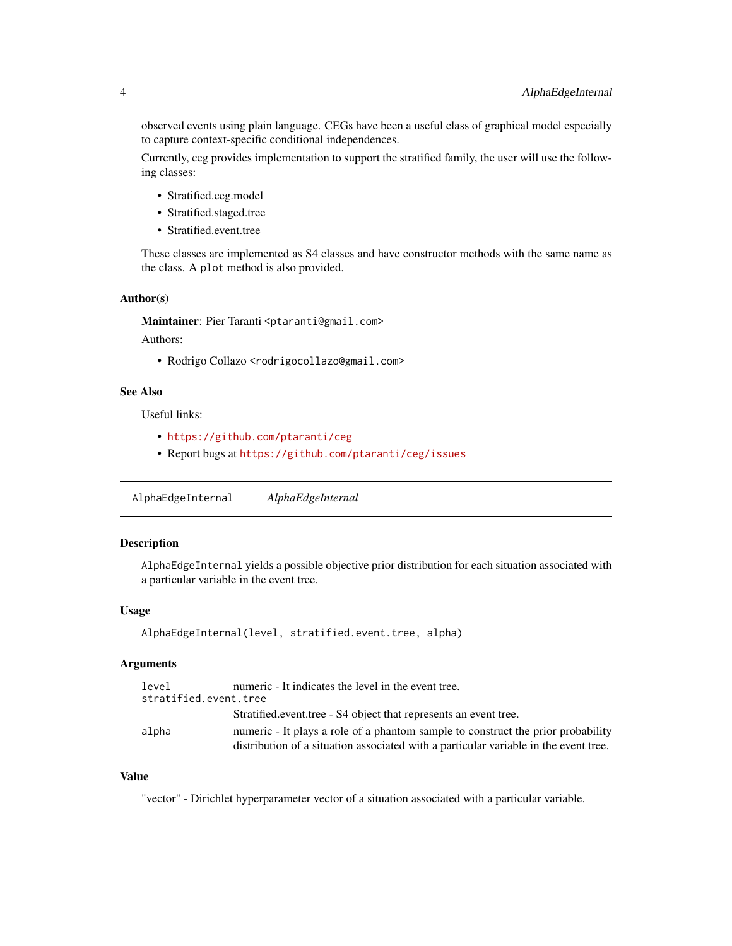<span id="page-3-0"></span>observed events using plain language. CEGs have been a useful class of graphical model especially to capture context-specific conditional independences.

Currently, ceg provides implementation to support the stratified family, the user will use the following classes:

- Stratified.ceg.model
- Stratified.staged.tree
- Stratified.event.tree

These classes are implemented as S4 classes and have constructor methods with the same name as the class. A plot method is also provided.

#### Author(s)

Maintainer: Pier Taranti <ptaranti@gmail.com>

Authors:

• Rodrigo Collazo <rodrigocollazo@gmail.com>

### See Also

Useful links:

- <https://github.com/ptaranti/ceg>
- Report bugs at <https://github.com/ptaranti/ceg/issues>

AlphaEdgeInternal *AlphaEdgeInternal*

### Description

AlphaEdgeInternal yields a possible objective prior distribution for each situation associated with a particular variable in the event tree.

#### Usage

AlphaEdgeInternal(level, stratified.event.tree, alpha)

### Arguments

| level | numeric - It indicates the level in the event tree.                                  |
|-------|--------------------------------------------------------------------------------------|
|       | stratified.event.tree                                                                |
|       | Stratified.event.tree - S4 object that represents an event tree.                     |
| alpha | numeric - It plays a role of a phantom sample to construct the prior probability     |
|       | distribution of a situation associated with a particular variable in the event tree. |

### Value

"vector" - Dirichlet hyperparameter vector of a situation associated with a particular variable.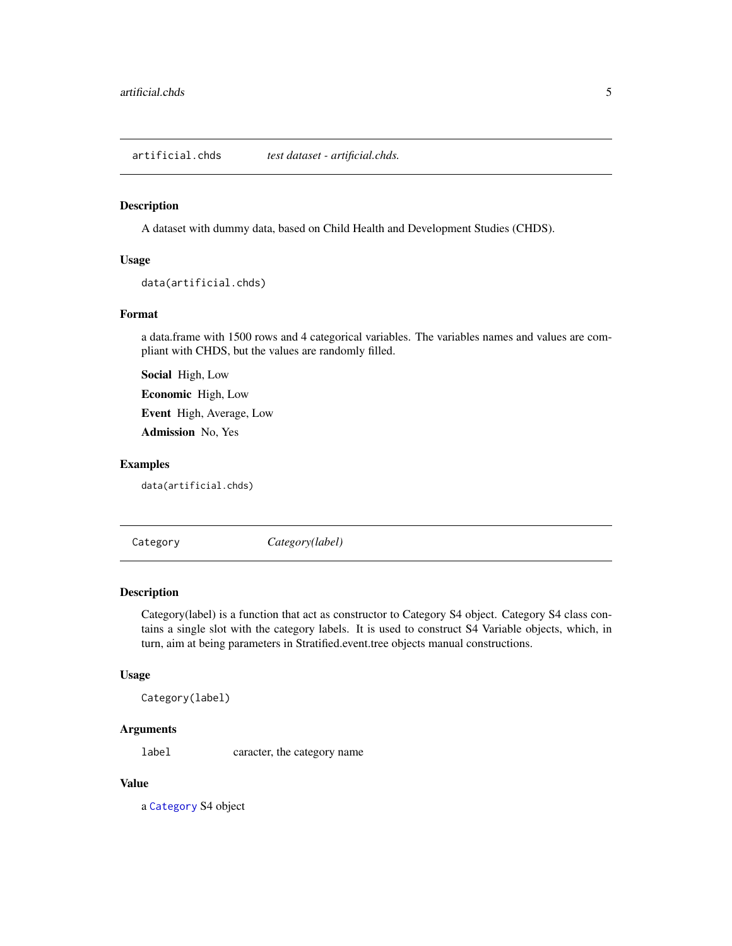<span id="page-4-0"></span>artificial.chds *test dataset - artificial.chds.*

### Description

A dataset with dummy data, based on Child Health and Development Studies (CHDS).

#### Usage

data(artificial.chds)

### Format

a data.frame with 1500 rows and 4 categorical variables. The variables names and values are compliant with CHDS, but the values are randomly filled.

Social High, Low

Economic High, Low

Event High, Average, Low

Admission No, Yes

#### Examples

data(artificial.chds)

<span id="page-4-1"></span>Category *Category(label)*

#### Description

Category(label) is a function that act as constructor to Category S4 object. Category S4 class contains a single slot with the category labels. It is used to construct S4 Variable objects, which, in turn, aim at being parameters in Stratified.event.tree objects manual constructions.

#### Usage

Category(label)

### Arguments

label caracter, the category name

### Value

a [Category](#page-4-1) S4 object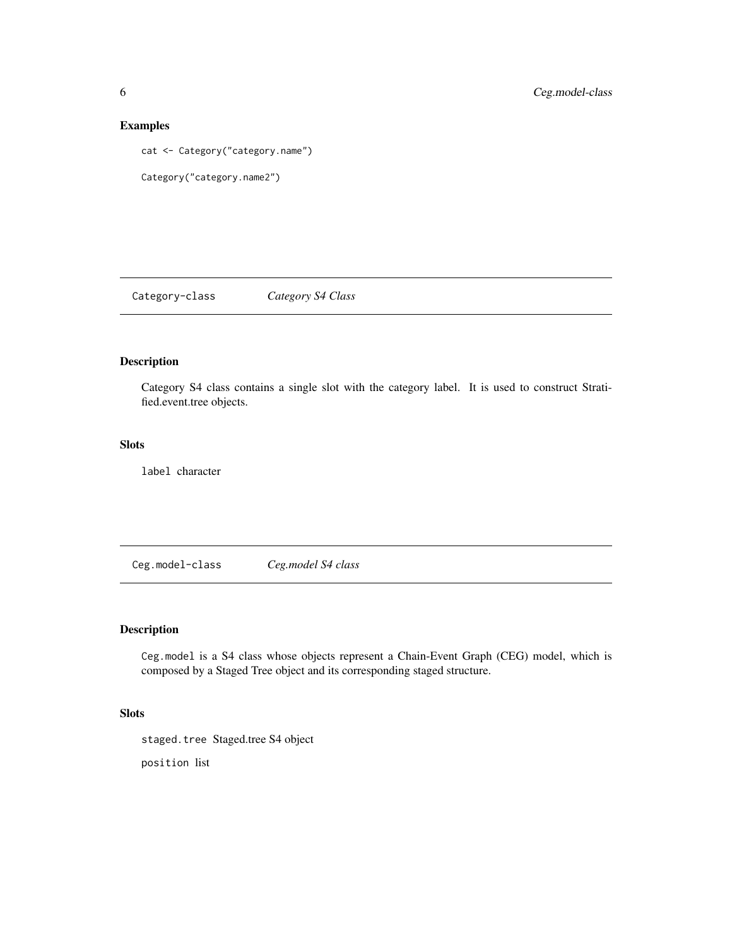### Examples

cat <- Category("category.name")

```
Category("category.name2")
```
Category-class *Category S4 Class*

## Description

Category S4 class contains a single slot with the category label. It is used to construct Stratified.event.tree objects.

#### Slots

label character

Ceg.model-class *Ceg.model S4 class*

### Description

Ceg.model is a S4 class whose objects represent a Chain-Event Graph (CEG) model, which is composed by a Staged Tree object and its corresponding staged structure.

### Slots

staged.tree Staged.tree S4 object

position list

<span id="page-5-0"></span>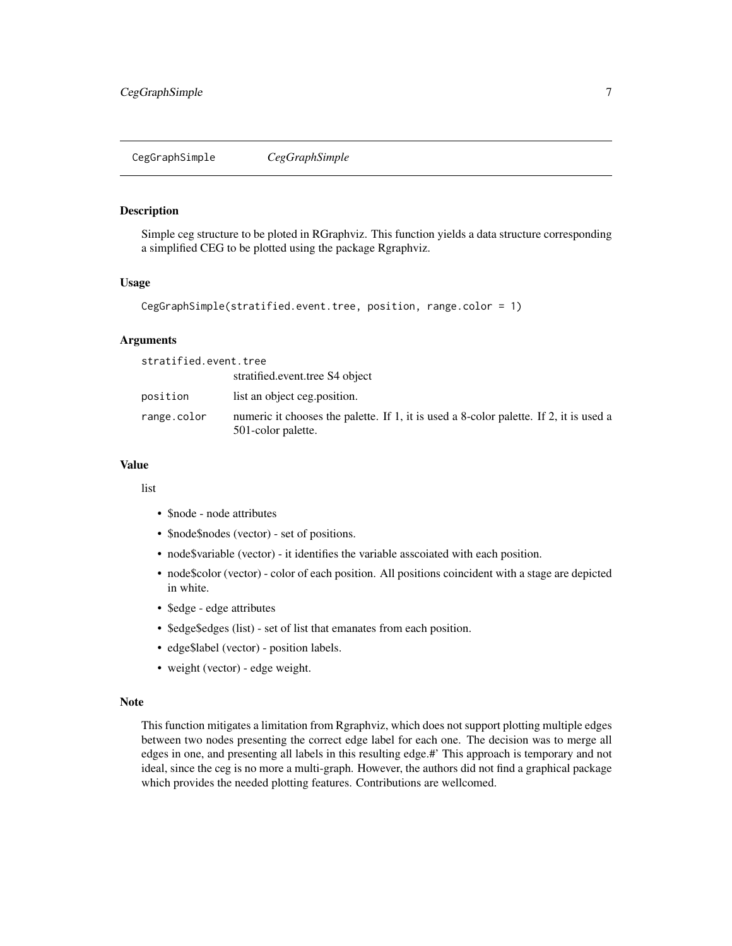<span id="page-6-0"></span>CegGraphSimple *CegGraphSimple*

### Description

Simple ceg structure to be ploted in RGraphviz. This function yields a data structure corresponding a simplified CEG to be plotted using the package Rgraphviz.

#### Usage

```
CegGraphSimple(stratified.event.tree, position, range.color = 1)
```
#### Arguments

| stratified.event.tree |                                                                                                              |
|-----------------------|--------------------------------------------------------------------------------------------------------------|
|                       | stratified.event.tree S4 object                                                                              |
| position              | list an object ceg.position.                                                                                 |
| range.color           | numeric it chooses the palette. If 1, it is used a 8-color palette. If 2, it is used a<br>501-color palette. |

### Value

list

- \$node node attributes
- \$node\$nodes (vector) set of positions.
- node\$variable (vector) it identifies the variable asscoiated with each position.
- node\$color (vector) color of each position. All positions coincident with a stage are depicted in white.
- \$edge edge attributes
- \$edge\$edges (list) set of list that emanates from each position.
- edge\$label (vector) position labels.
- weight (vector) edge weight.

### Note

This function mitigates a limitation from Rgraphviz, which does not support plotting multiple edges between two nodes presenting the correct edge label for each one. The decision was to merge all edges in one, and presenting all labels in this resulting edge.#' This approach is temporary and not ideal, since the ceg is no more a multi-graph. However, the authors did not find a graphical package which provides the needed plotting features. Contributions are wellcomed.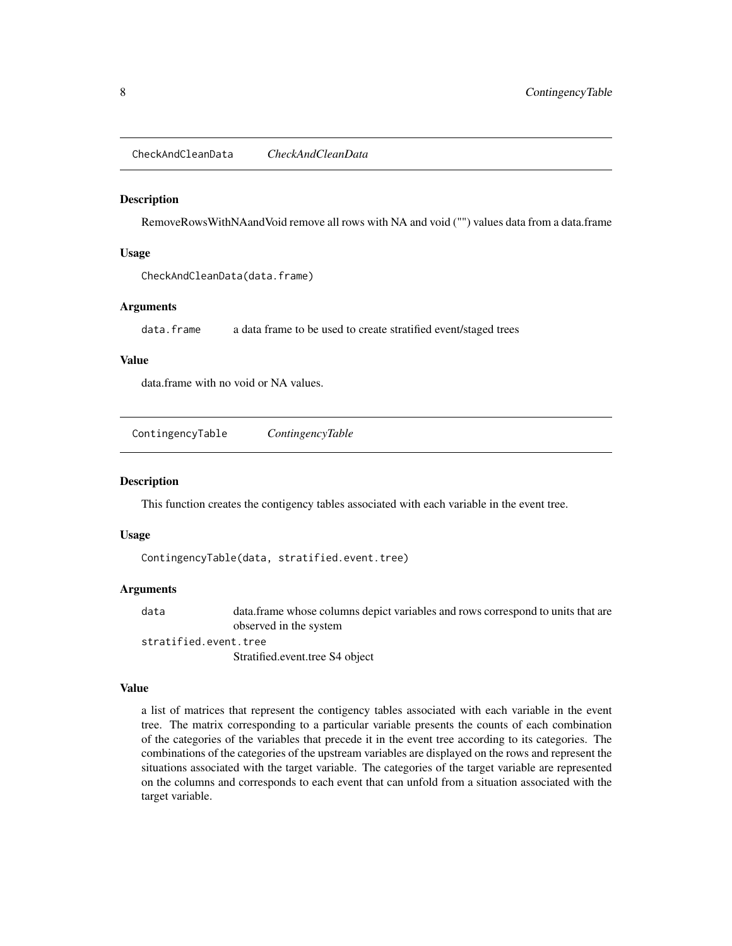<span id="page-7-0"></span>CheckAndCleanData *CheckAndCleanData*

#### **Description**

RemoveRowsWithNAandVoid remove all rows with NA and void ("") values data from a data.frame

#### Usage

CheckAndCleanData(data.frame)

#### Arguments

data.frame a data frame to be used to create stratified event/staged trees

### Value

data.frame with no void or NA values.

ContingencyTable *ContingencyTable*

#### Description

This function creates the contigency tables associated with each variable in the event tree.

#### Usage

ContingencyTable(data, stratified.event.tree)

#### Arguments

data data.frame whose columns depict variables and rows correspond to units that are observed in the system

stratified.event.tree

Stratified.event.tree S4 object

### Value

a list of matrices that represent the contigency tables associated with each variable in the event tree. The matrix corresponding to a particular variable presents the counts of each combination of the categories of the variables that precede it in the event tree according to its categories. The combinations of the categories of the upstream variables are displayed on the rows and represent the situations associated with the target variable. The categories of the target variable are represented on the columns and corresponds to each event that can unfold from a situation associated with the target variable.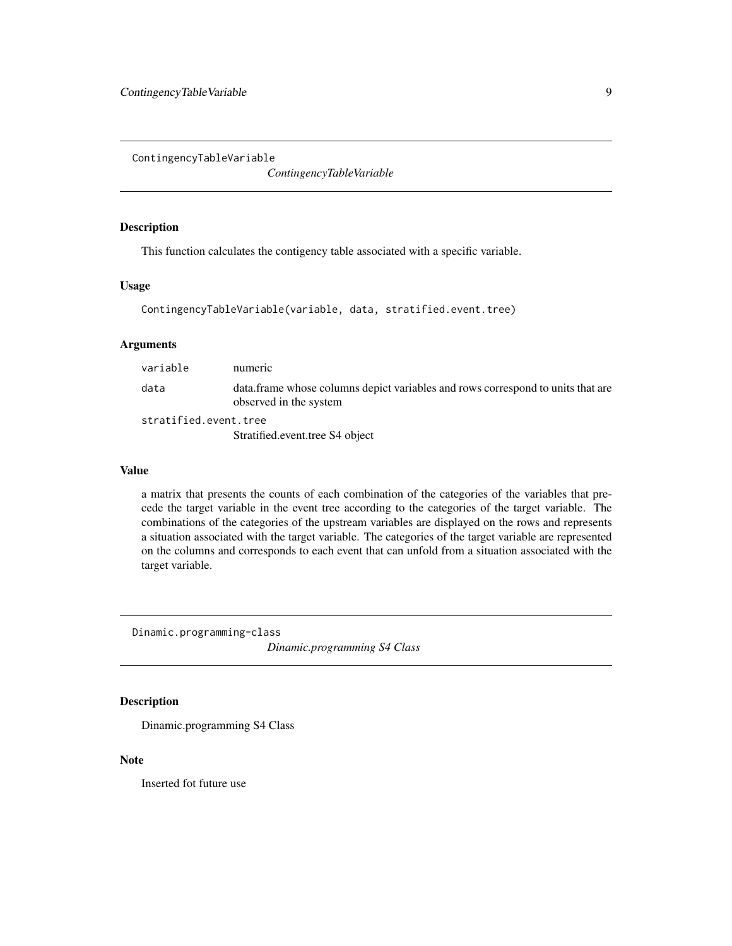<span id="page-8-0"></span>ContingencyTableVariable

*ContingencyTableVariable*

#### Description

This function calculates the contigency table associated with a specific variable.

### Usage

```
ContingencyTableVariable(variable, data, stratified.event.tree)
```
### Arguments

| variable              | numeric                                                                                                   |
|-----------------------|-----------------------------------------------------------------------------------------------------------|
| data                  | data frame whose columns depict variables and rows correspond to units that are<br>observed in the system |
| stratified.event.tree |                                                                                                           |
|                       | Stratified.event.tree S4 object                                                                           |

### Value

a matrix that presents the counts of each combination of the categories of the variables that precede the target variable in the event tree according to the categories of the target variable. The combinations of the categories of the upstream variables are displayed on the rows and represents a situation associated with the target variable. The categories of the target variable are represented on the columns and corresponds to each event that can unfold from a situation associated with the target variable.

Dinamic.programming-class

*Dinamic.programming S4 Class*

### Description

Dinamic.programming S4 Class

#### Note

Inserted fot future use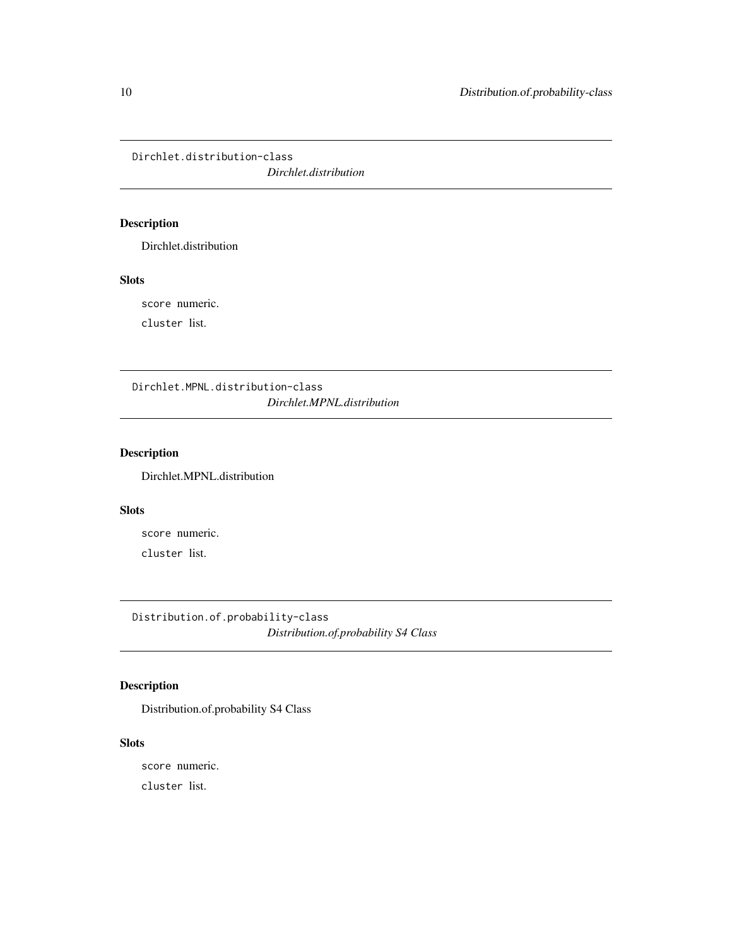<span id="page-9-0"></span>Dirchlet.distribution-class

*Dirchlet.distribution*

### Description

Dirchlet.distribution

### Slots

score numeric.

cluster list.

Dirchlet.MPNL.distribution-class *Dirchlet.MPNL.distribution*

### Description

Dirchlet.MPNL.distribution

### Slots

score numeric. cluster list.

Distribution.of.probability-class *Distribution.of.probability S4 Class*

### Description

Distribution.of.probability S4 Class

### Slots

score numeric.

cluster list.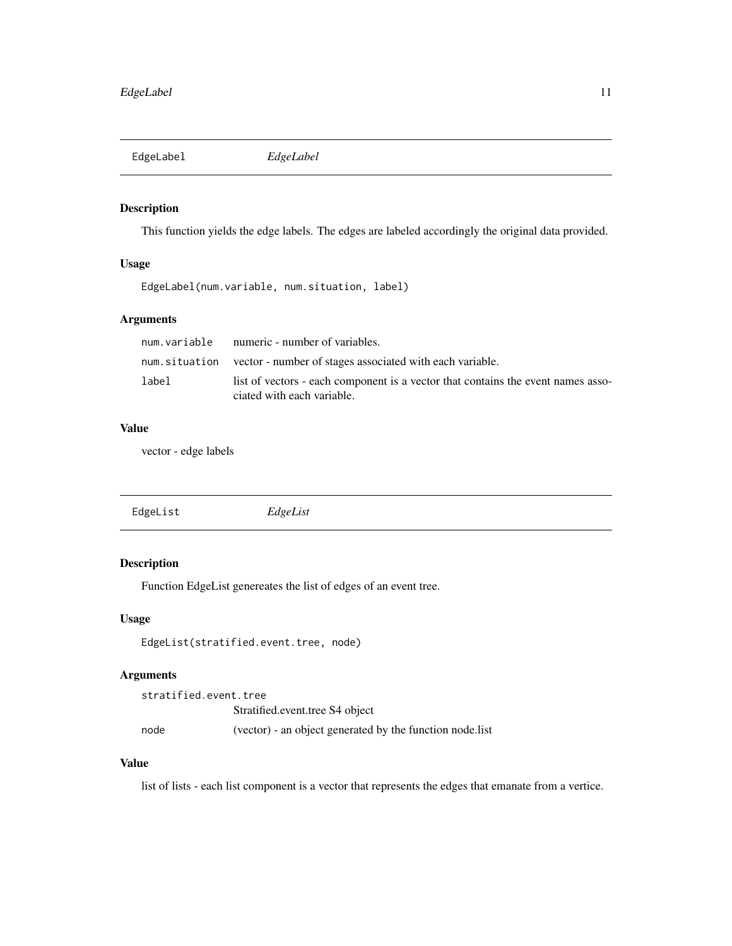<span id="page-10-0"></span>EdgeLabel *EdgeLabel*

### Description

This function yields the edge labels. The edges are labeled accordingly the original data provided.

### Usage

EdgeLabel(num.variable, num.situation, label)

### Arguments

|       | num. variable numeric - number of variables.                                                                   |
|-------|----------------------------------------------------------------------------------------------------------------|
|       | num situation vector - number of stages associated with each variable.                                         |
| label | list of vectors - each component is a vector that contains the event names asso-<br>ciated with each variable. |

### Value

vector - edge labels

| EdgeList | EdgeList |
|----------|----------|
|          |          |

### Description

Function EdgeList genereates the list of edges of an event tree.

#### Usage

```
EdgeList(stratified.event.tree, node)
```
#### Arguments

stratified.event.tree Stratified.event.tree S4 object node (vector) - an object generated by the function node.list

### Value

list of lists - each list component is a vector that represents the edges that emanate from a vertice.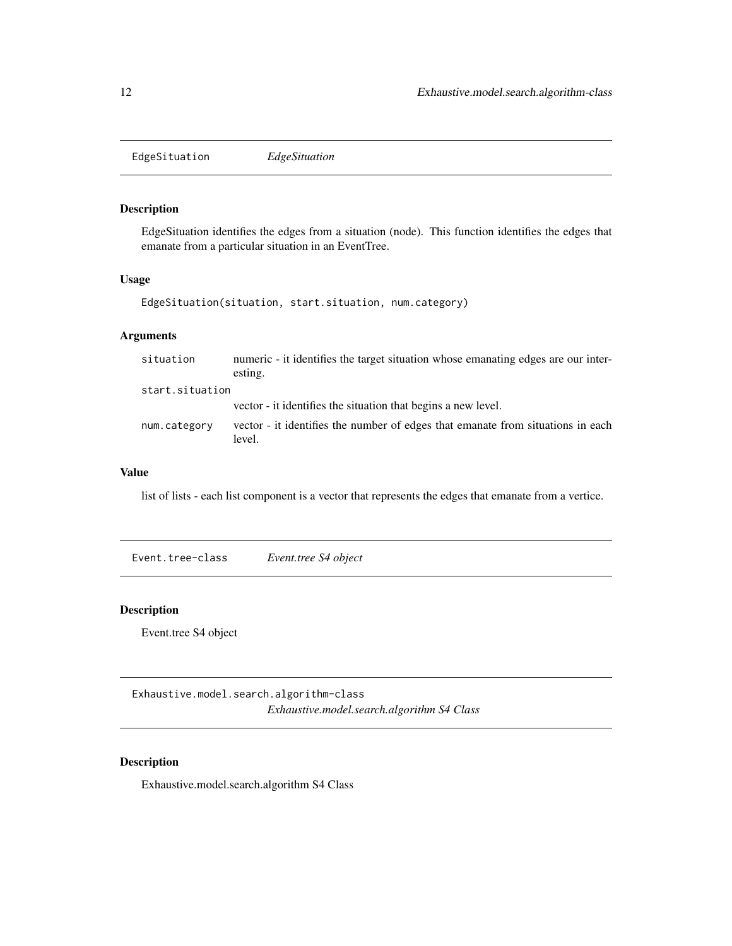<span id="page-11-0"></span>EdgeSituation *EdgeSituation*

### Description

EdgeSituation identifies the edges from a situation (node). This function identifies the edges that emanate from a particular situation in an EventTree.

#### Usage

EdgeSituation(situation, start.situation, num.category)

### Arguments

| situation       | numeric - it identifies the target situation whose emanating edges are our inter-<br>esting. |
|-----------------|----------------------------------------------------------------------------------------------|
| start.situation |                                                                                              |
|                 | vector - it identifies the situation that begins a new level.                                |
| num.category    | vector - it identifies the number of edges that emanate from situations in each<br>level.    |

### Value

list of lists - each list component is a vector that represents the edges that emanate from a vertice.

Event.tree-class *Event.tree S4 object*

### Description

Event.tree S4 object

Exhaustive.model.search.algorithm-class *Exhaustive.model.search.algorithm S4 Class*

## Description

Exhaustive.model.search.algorithm S4 Class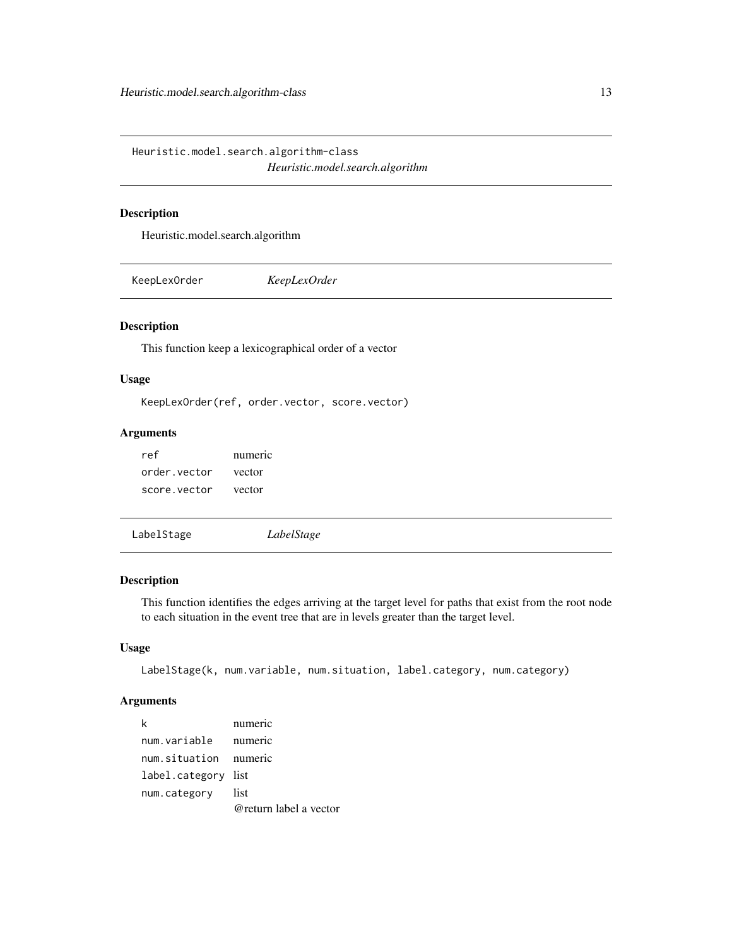<span id="page-12-0"></span>Heuristic.model.search.algorithm-class *Heuristic.model.search.algorithm*

### Description

Heuristic.model.search.algorithm

KeepLexOrder *KeepLexOrder*

### Description

This function keep a lexicographical order of a vector

#### Usage

KeepLexOrder(ref, order.vector, score.vector)

### Arguments

| ref          | numeric |
|--------------|---------|
| order vector | vector  |
| score vector | vector  |

```
LabelStage LabelStage
```
### Description

This function identifies the edges arriving at the target level for paths that exist from the root node to each situation in the event tree that are in levels greater than the target level.

### Usage

```
LabelStage(k, num.variable, num.situation, label.category, num.category)
```
### Arguments

| k                     | numeric                |
|-----------------------|------------------------|
| num.variable numeric  |                        |
| num.situation numeric |                        |
| label.category list   |                        |
| num.category          | list                   |
|                       | @return label a vector |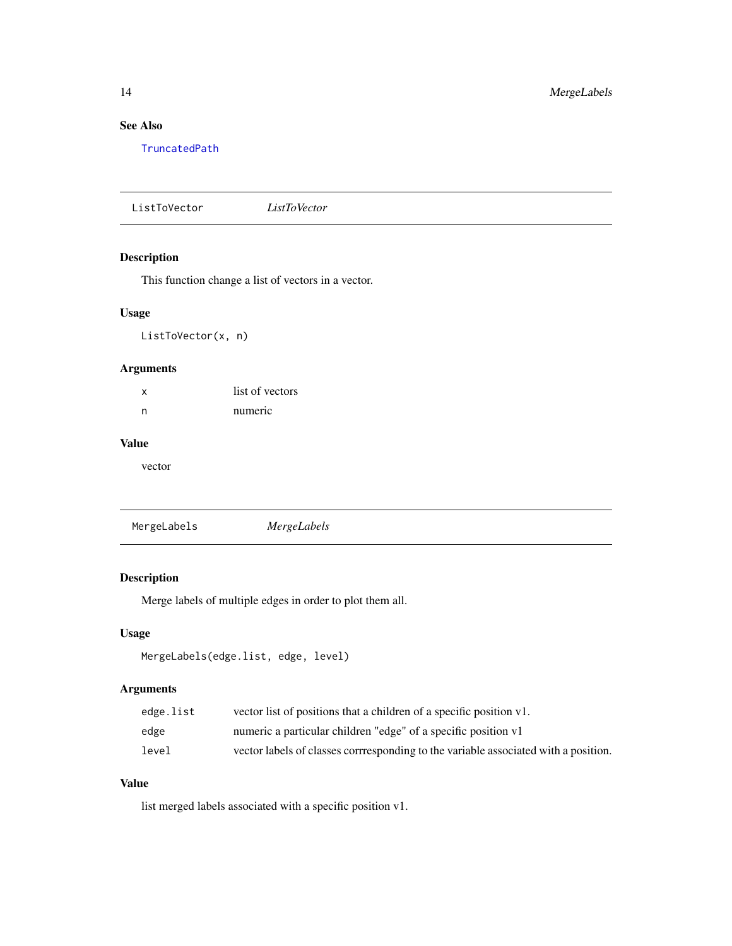### <span id="page-13-0"></span>See Also

[TruncatedPath](#page-32-1)

ListToVector *ListToVector*

### Description

This function change a list of vectors in a vector.

### Usage

ListToVector(x, n)

### Arguments

| x | list of vectors |
|---|-----------------|
| n | numeric         |

### Value

vector

MergeLabels *MergeLabels*

### Description

Merge labels of multiple edges in order to plot them all.

### Usage

```
MergeLabels(edge.list, edge, level)
```
### Arguments

| edge.list | vector list of positions that a children of a specific position v1.                 |
|-----------|-------------------------------------------------------------------------------------|
| edge      | numeric a particular children "edge" of a specific position v1                      |
| level     | vector labels of classes corrresponding to the variable associated with a position. |

## Value

list merged labels associated with a specific position v1.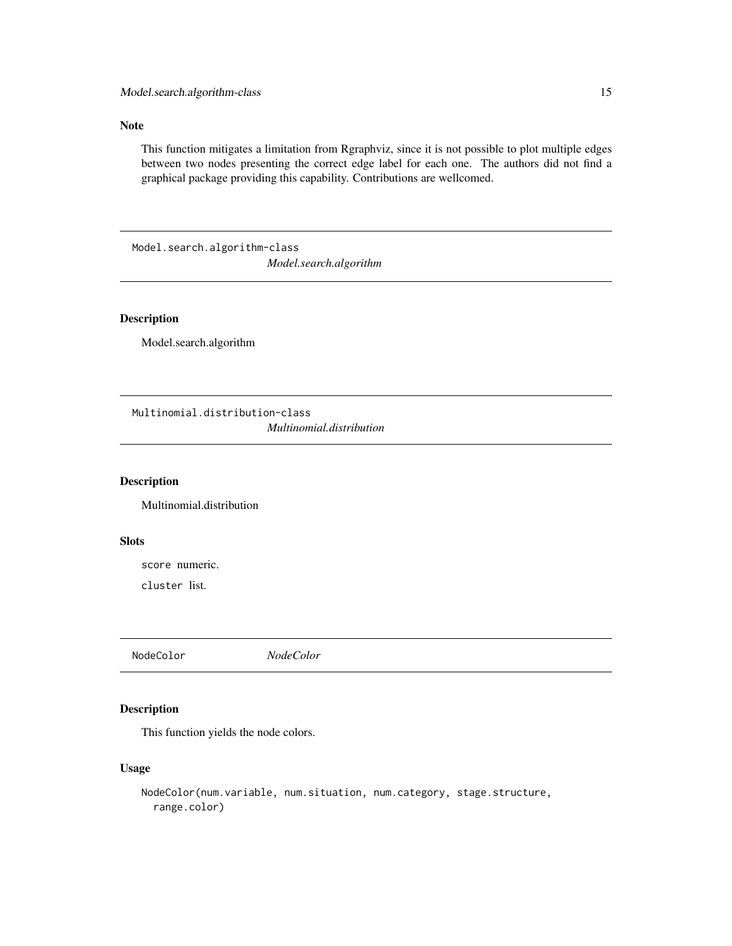### <span id="page-14-0"></span>Note

This function mitigates a limitation from Rgraphviz, since it is not possible to plot multiple edges between two nodes presenting the correct edge label for each one. The authors did not find a graphical package providing this capability. Contributions are wellcomed.

Model.search.algorithm-class *Model.search.algorithm*

#### Description

Model.search.algorithm

Multinomial.distribution-class *Multinomial.distribution*

#### Description

Multinomial.distribution

### Slots

score numeric.

cluster list.

NodeColor *NodeColor*

### Description

This function yields the node colors.

### Usage

```
NodeColor(num.variable, num.situation, num.category, stage.structure,
  range.color)
```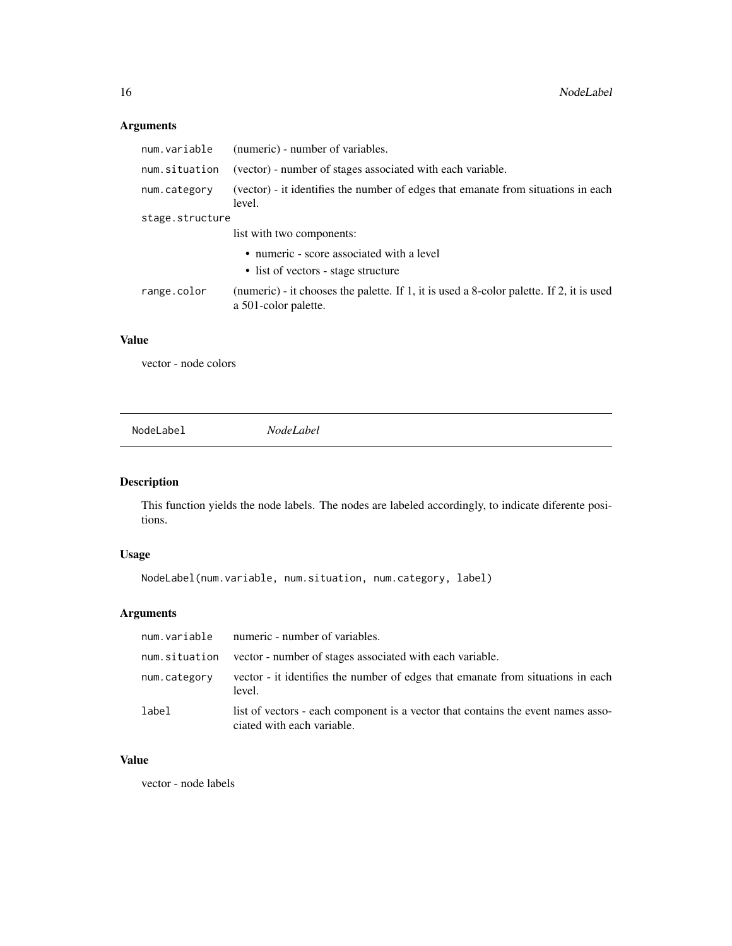### Arguments

| num.variable    | (numeric) - number of variables.                                                                                 |  |
|-----------------|------------------------------------------------------------------------------------------------------------------|--|
| num.situation   | (vector) - number of stages associated with each variable.                                                       |  |
| num.category    | (vector) - it identifies the number of edges that emanate from situations in each<br>level.                      |  |
| stage.structure |                                                                                                                  |  |
|                 | list with two components:                                                                                        |  |
|                 | • numeric - score associated with a level                                                                        |  |
|                 | • list of vectors - stage structure                                                                              |  |
| range.color     | (numeric) - it chooses the palette. If 1, it is used a 8-color palette. If 2, it is used<br>a 501-color palette. |  |

### Value

vector - node colors

NodeLabel *NodeLabel*

### Description

This function yields the node labels. The nodes are labeled accordingly, to indicate diferente positions.

### Usage

NodeLabel(num.variable, num.situation, num.category, label)

### Arguments

|               | num.variable numeric - number of variables.                                                                    |
|---------------|----------------------------------------------------------------------------------------------------------------|
| num.situation | vector - number of stages associated with each variable.                                                       |
| num.category  | vector - it identifies the number of edges that emanate from situations in each<br>level.                      |
| label         | list of vectors - each component is a vector that contains the event names asso-<br>ciated with each variable. |

### Value

vector - node labels

<span id="page-15-0"></span>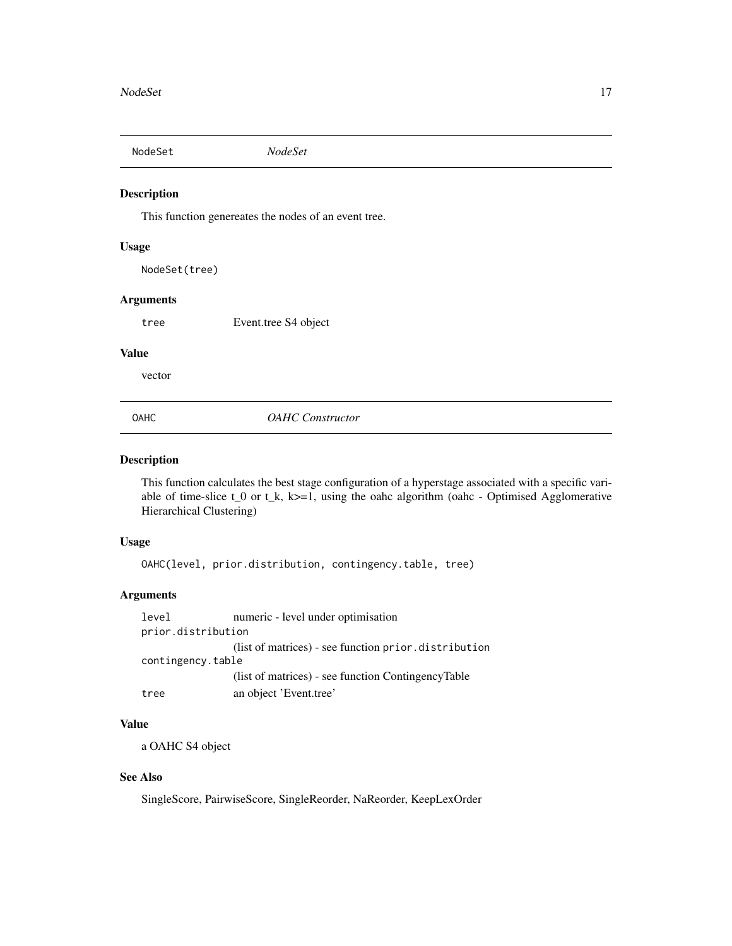<span id="page-16-0"></span>NodeSet *NodeSet*

### Description

This function genereates the nodes of an event tree.

#### Usage

NodeSet(tree)

#### **Arguments**

tree Event.tree S4 object

#### Value

vector

OAHC *OAHC Constructor*

### Description

This function calculates the best stage configuration of a hyperstage associated with a specific variable of time-slice  $t_0$  or  $t_k$ ,  $k>=1$ , using the oahc algorithm (oahc - Optimised Agglomerative Hierarchical Clustering)

#### Usage

OAHC(level, prior.distribution, contingency.table, tree)

### Arguments

level numeric - level under optimisation prior.distribution (list of matrices) - see function prior.distribution contingency.table (list of matrices) - see function ContingencyTable tree an object 'Event.tree'

### Value

a OAHC S4 object

### See Also

SingleScore, PairwiseScore, SingleReorder, NaReorder, KeepLexOrder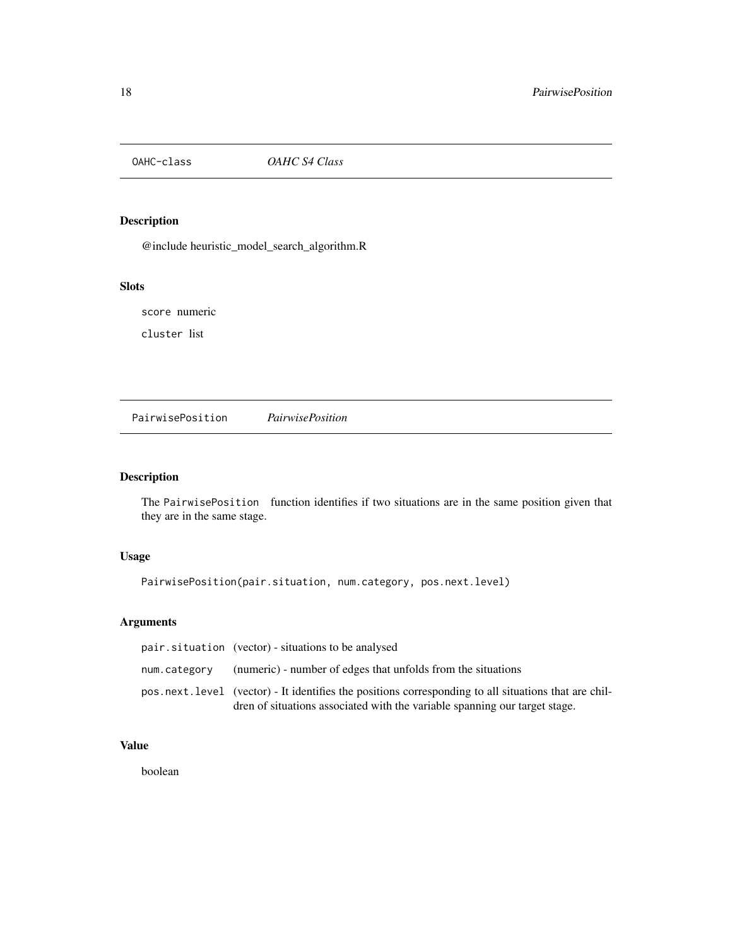<span id="page-17-0"></span>

### Description

@include heuristic\_model\_search\_algorithm.R

### Slots

score numeric

cluster list

<span id="page-17-1"></span>PairwisePosition *PairwisePosition*

### Description

The PairwisePosition function identifies if two situations are in the same position given that they are in the same stage.

### Usage

```
PairwisePosition(pair.situation, num.category, pos.next.level)
```
### Arguments

| pair.situation (vector) - situations to be analysed                                                                                                                                |
|------------------------------------------------------------------------------------------------------------------------------------------------------------------------------------|
| num.category (numeric) - number of edges that unfolds from the situations                                                                                                          |
| pos.next.level (vector) - It identifies the positions corresponding to all situations that are chil-<br>dren of situations associated with the variable spanning our target stage. |

### Value

boolean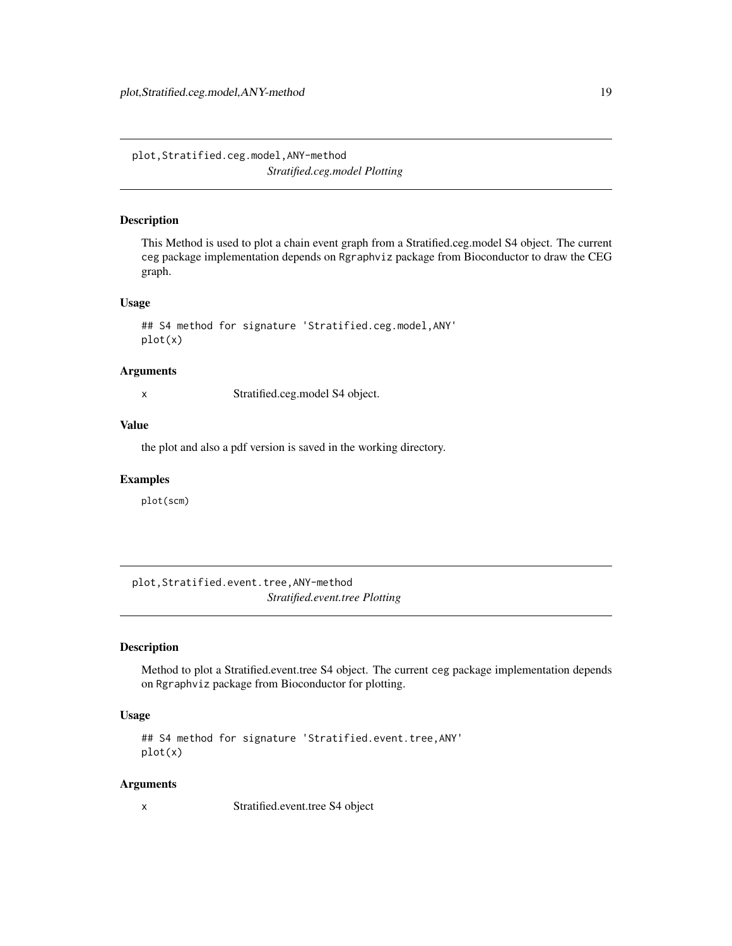<span id="page-18-0"></span>plot,Stratified.ceg.model,ANY-method *Stratified.ceg.model Plotting*

#### Description

This Method is used to plot a chain event graph from a Stratified.ceg.model S4 object. The current ceg package implementation depends on Rgraphviz package from Bioconductor to draw the CEG graph.

#### Usage

```
## S4 method for signature 'Stratified.ceg.model,ANY'
plot(x)
```
#### Arguments

x Stratified.ceg.model S4 object.

#### Value

the plot and also a pdf version is saved in the working directory.

### Examples

plot(scm)

plot,Stratified.event.tree,ANY-method *Stratified.event.tree Plotting*

### Description

Method to plot a Stratified.event.tree S4 object. The current ceg package implementation depends on Rgraphviz package from Bioconductor for plotting.

### Usage

```
## S4 method for signature 'Stratified.event.tree,ANY'
plot(x)
```
#### Arguments

x Stratified.event.tree S4 object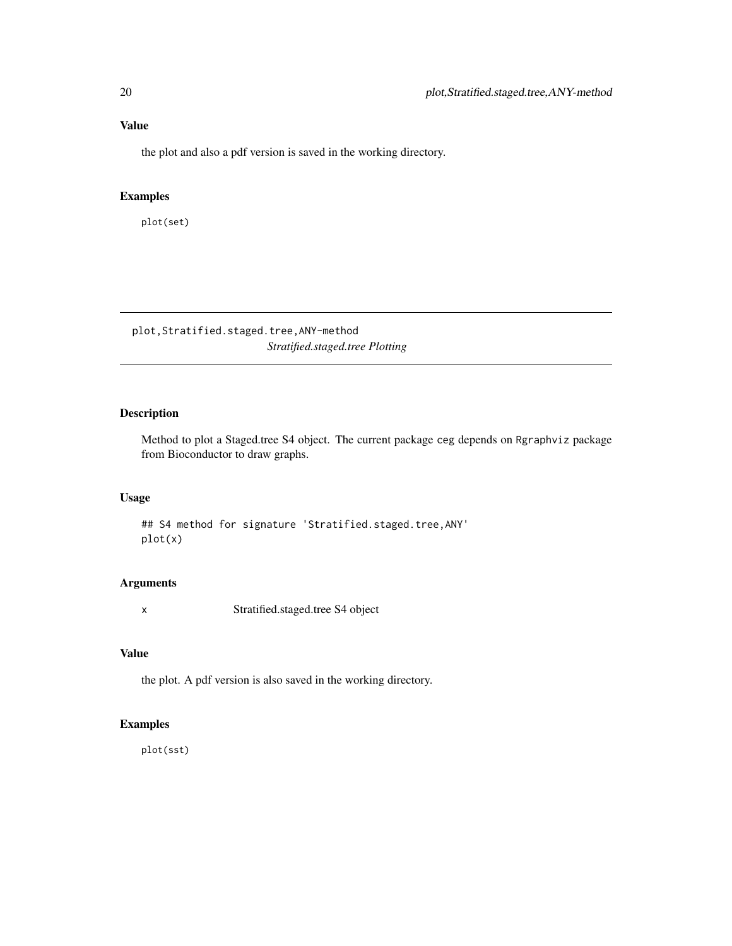## <span id="page-19-0"></span>Value

the plot and also a pdf version is saved in the working directory.

### Examples

plot(set)

plot,Stratified.staged.tree,ANY-method *Stratified.staged.tree Plotting*

### Description

Method to plot a Staged.tree S4 object. The current package ceg depends on Rgraphviz package from Bioconductor to draw graphs.

### Usage

## S4 method for signature 'Stratified.staged.tree,ANY' plot(x)

### Arguments

x Stratified.staged.tree S4 object

### Value

the plot. A pdf version is also saved in the working directory.

### Examples

plot(sst)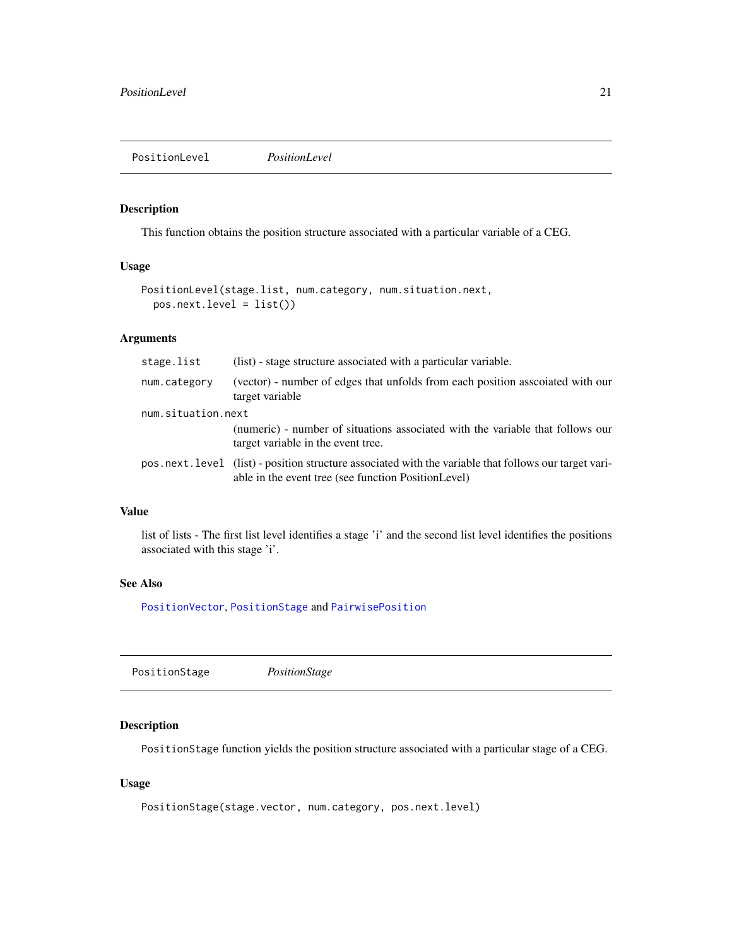### <span id="page-20-0"></span>Description

This function obtains the position structure associated with a particular variable of a CEG.

### Usage

```
PositionLevel(stage.list, num.category, num.situation.next,
 pos.next.level = list())
```
### Arguments

| stage.list         | (list) - stage structure associated with a particular variable.                                                                                              |  |
|--------------------|--------------------------------------------------------------------------------------------------------------------------------------------------------------|--|
| num.category       | (vector) - number of edges that unfolds from each position associated with our<br>target variable                                                            |  |
| num.situation.next |                                                                                                                                                              |  |
|                    | (numeric) - number of situations associated with the variable that follows our<br>target variable in the event tree.                                         |  |
|                    | pos.next.level (list) - position structure associated with the variable that follows our target vari-<br>able in the event tree (see function PositionLevel) |  |

### Value

list of lists - The first list level identifies a stage 'i' and the second list level identifies the positions associated with this stage 'i'.

### See Also

[PositionVector](#page-21-1), [PositionStage](#page-20-1) and [PairwisePosition](#page-17-1)

<span id="page-20-1"></span>

|--|

#### Description

PositionStage function yields the position structure associated with a particular stage of a CEG.

### Usage

```
PositionStage(stage.vector, num.category, pos.next.level)
```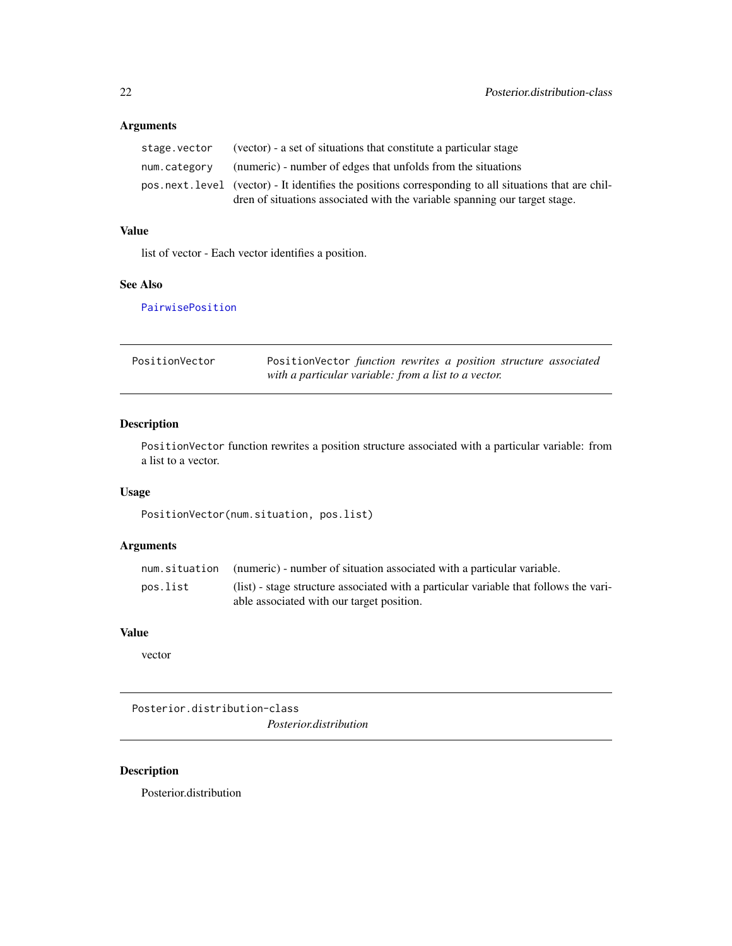## <span id="page-21-0"></span>Arguments

| stage.vector | (vector) - a set of situations that constitute a particular stage                                    |
|--------------|------------------------------------------------------------------------------------------------------|
| num.categorv | (numeric) - number of edges that unfolds from the situations                                         |
|              | pos.next.level (vector) - It identifies the positions corresponding to all situations that are chil- |
|              | dren of situations associated with the variable spanning our target stage.                           |

## Value

list of vector - Each vector identifies a position.

### See Also

[PairwisePosition](#page-17-1)

<span id="page-21-1"></span>

| PositionVector | PositionVector function rewrites a position structure associated |
|----------------|------------------------------------------------------------------|
|                | with a particular variable: from a list to a vector.             |

### Description

PositionVector function rewrites a position structure associated with a particular variable: from a list to a vector.

### Usage

PositionVector(num.situation, pos.list)

### Arguments

|          | num situation (numeric) - number of situation associated with a particular variable.  |
|----------|---------------------------------------------------------------------------------------|
| pos.list | (list) - stage structure associated with a particular variable that follows the vari- |
|          | able associated with our target position.                                             |

### Value

vector

Posterior.distribution-class

*Posterior.distribution*

## Description

Posterior.distribution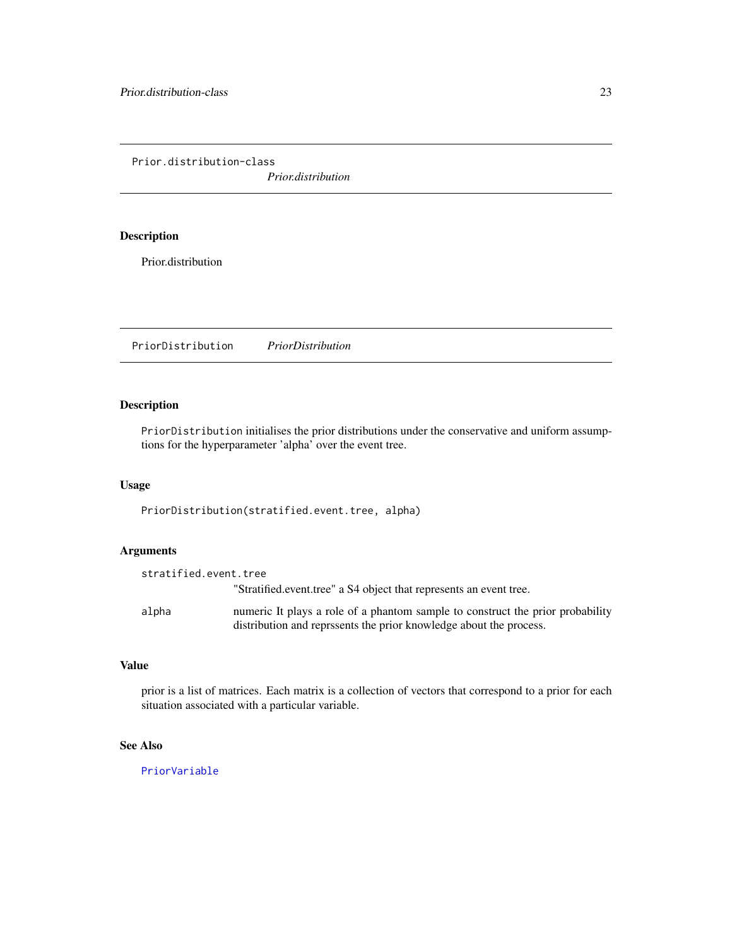<span id="page-22-0"></span>Prior.distribution-class

*Prior.distribution*

### Description

Prior.distribution

PriorDistribution *PriorDistribution*

### Description

PriorDistribution initialises the prior distributions under the conservative and uniform assumptions for the hyperparameter 'alpha' over the event tree.

### Usage

PriorDistribution(stratified.event.tree, alpha)

### Arguments

| stratified.event.tree |                                                                                                                                                      |
|-----------------------|------------------------------------------------------------------------------------------------------------------------------------------------------|
|                       | "Stratified.event.tree" a S4 object that represents an event tree.                                                                                   |
| alpha                 | numeric It plays a role of a phantom sample to construct the prior probability<br>distribution and represents the prior knowledge about the process. |

#### Value

prior is a list of matrices. Each matrix is a collection of vectors that correspond to a prior for each situation associated with a particular variable.

### See Also

[PriorVariable](#page-23-1)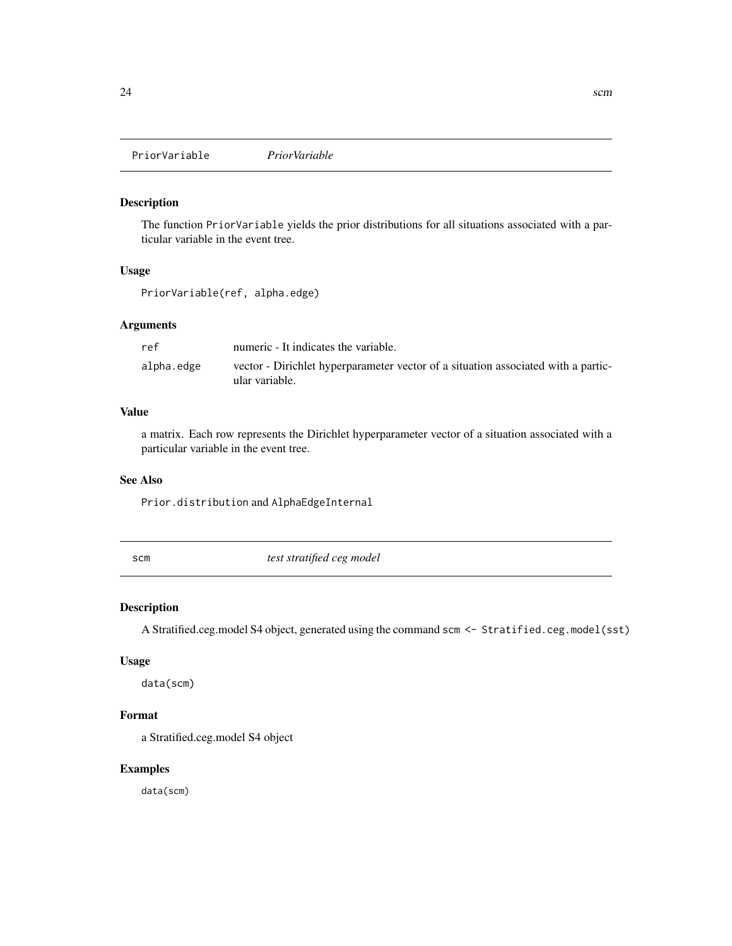<span id="page-23-1"></span><span id="page-23-0"></span>PriorVariable *PriorVariable*

#### Description

The function PriorVariable yields the prior distributions for all situations associated with a particular variable in the event tree.

### Usage

```
PriorVariable(ref, alpha.edge)
```
### Arguments

| ref        | numeric - It indicates the variable.                                              |
|------------|-----------------------------------------------------------------------------------|
| alpha.edge | vector - Dirichlet hyperparameter vector of a situation associated with a partic- |
|            | ular variable.                                                                    |

### Value

a matrix. Each row represents the Dirichlet hyperparameter vector of a situation associated with a particular variable in the event tree.

### See Also

Prior.distribution and AlphaEdgeInternal

scm *test stratified ceg model*

### Description

A Stratified.ceg.model S4 object, generated using the command scm <- Stratified.ceg.model(sst)

### Usage

data(scm)

### Format

a Stratified.ceg.model S4 object

### Examples

data(scm)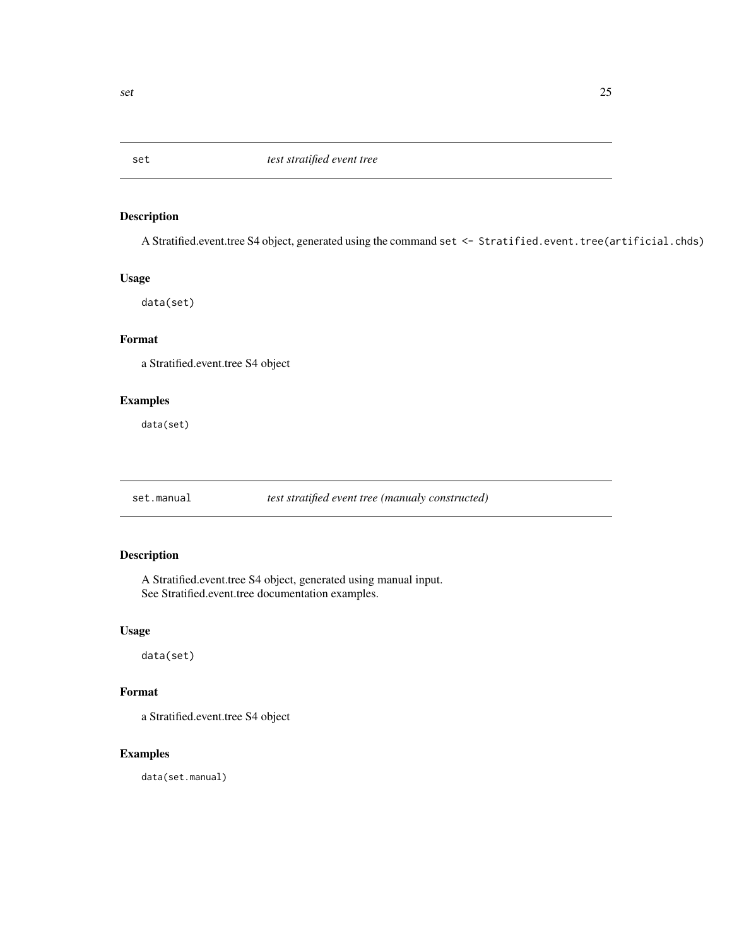<span id="page-24-0"></span>

### Description

A Stratified.event.tree S4 object, generated using the command set <- Stratified.event.tree(artificial.chds)

#### Usage

data(set)

### Format

a Stratified.event.tree S4 object

### Examples

data(set)

set.manual *test stratified event tree (manualy constructed)*

### Description

A Stratified.event.tree S4 object, generated using manual input. See Stratified.event.tree documentation examples.

#### Usage

data(set)

### Format

a Stratified.event.tree S4 object

#### Examples

data(set.manual)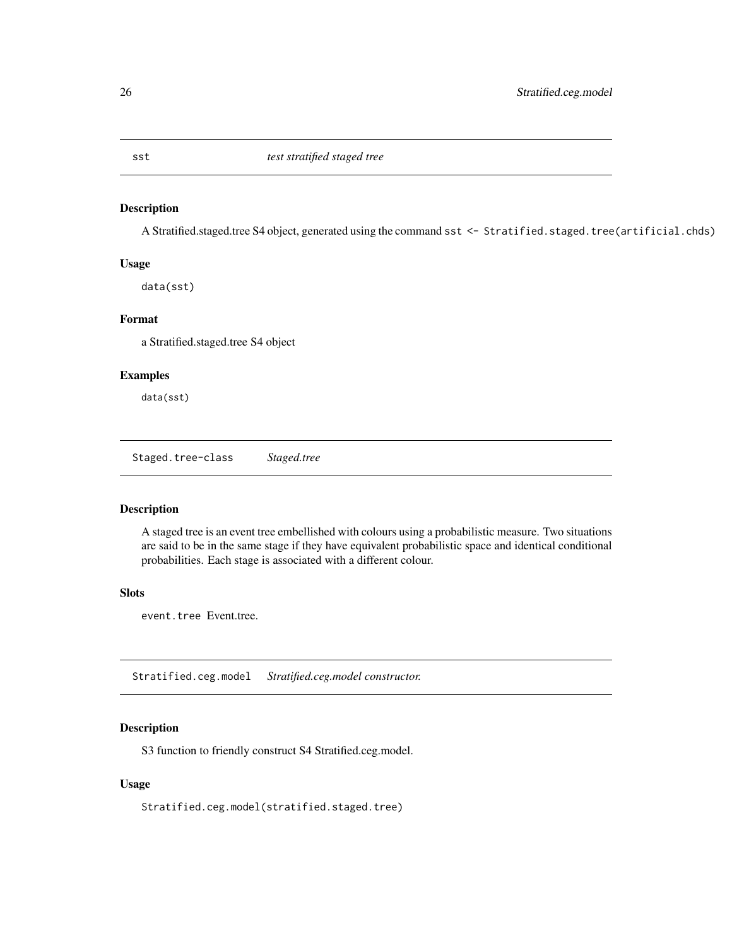<span id="page-25-0"></span>

#### Description

A Stratified.staged.tree S4 object, generated using the command sst <- Stratified.staged.tree(artificial.chds)

### Usage

data(sst)

### Format

a Stratified.staged.tree S4 object

### Examples

data(sst)

Staged.tree-class *Staged.tree*

### Description

A staged tree is an event tree embellished with colours using a probabilistic measure. Two situations are said to be in the same stage if they have equivalent probabilistic space and identical conditional probabilities. Each stage is associated with a different colour.

### Slots

event.tree Event.tree.

Stratified.ceg.model *Stratified.ceg.model constructor.*

### Description

S3 function to friendly construct S4 Stratified.ceg.model.

### Usage

Stratified.ceg.model(stratified.staged.tree)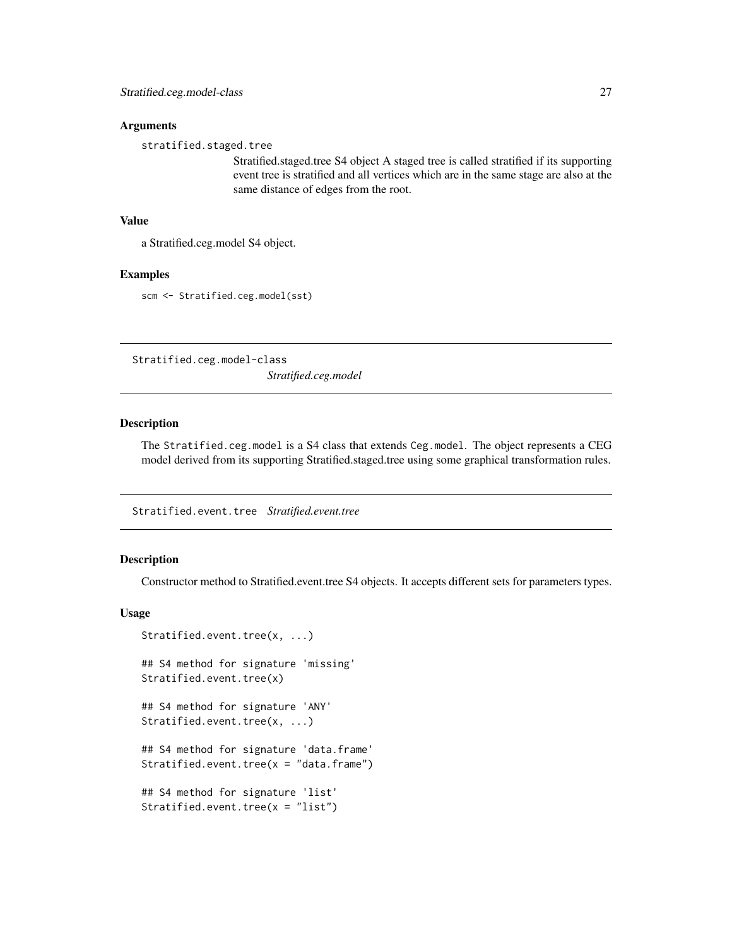#### <span id="page-26-0"></span>**Arguments**

stratified.staged.tree

Stratified.staged.tree S4 object A staged tree is called stratified if its supporting event tree is stratified and all vertices which are in the same stage are also at the same distance of edges from the root.

#### Value

a Stratified.ceg.model S4 object.

#### Examples

scm <- Stratified.ceg.model(sst)

Stratified.ceg.model-class *Stratified.ceg.model*

### Description

The Stratified.ceg.model is a S4 class that extends Ceg.model. The object represents a CEG model derived from its supporting Stratified.staged.tree using some graphical transformation rules.

Stratified.event.tree *Stratified.event.tree*

### Description

Constructor method to Stratified.event.tree S4 objects. It accepts different sets for parameters types.

#### Usage

```
Stratified.event.tree(x, ...)
## S4 method for signature 'missing'
Stratified.event.tree(x)
## S4 method for signature 'ANY'
Stratified.event.tree(x, ...)
## S4 method for signature 'data.frame'
Stratified.event.tree(x = "data-frame")## S4 method for signature 'list'
Stratified.event.tree(x = "list")
```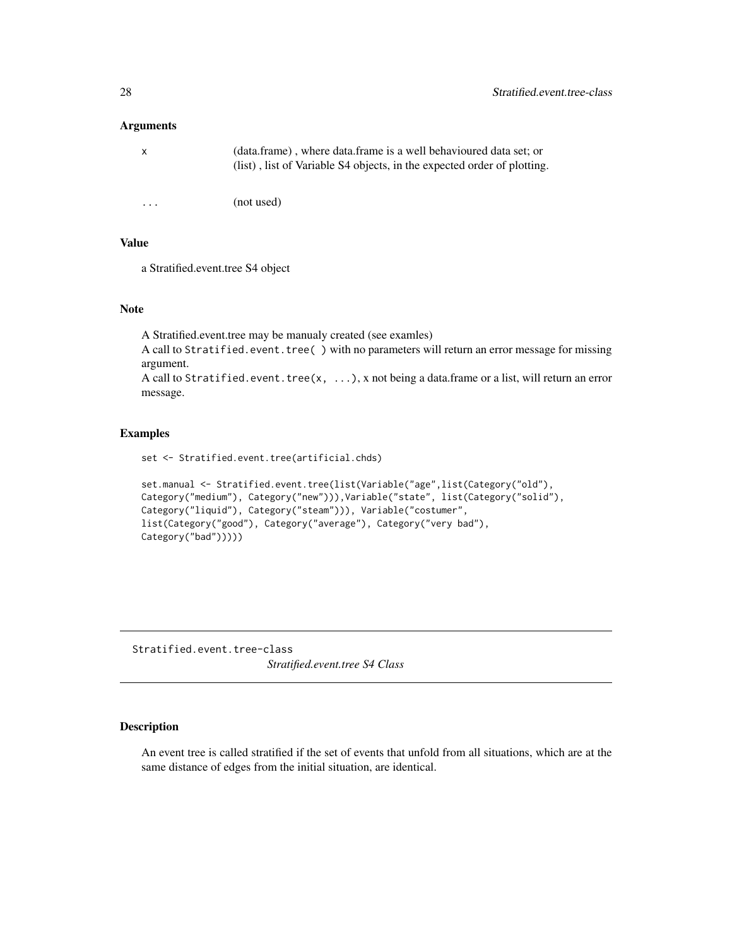#### <span id="page-27-0"></span>**Arguments**

| $\mathsf{X}$ | (data.frame), where data.frame is a well behavioured data set; or<br>(list), list of Variable S4 objects, in the expected order of plotting. |
|--------------|----------------------------------------------------------------------------------------------------------------------------------------------|
|              |                                                                                                                                              |
| $\cdot$      | (not used)                                                                                                                                   |

### Value

a Stratified.event.tree S4 object

### Note

A Stratified.event.tree may be manualy created (see examles) A call to Stratified.event.tree() with no parameters will return an error message for missing argument. A call to Stratified.event.tree(x,  $\dots$ ), x not being a data.frame or a list, will return an error message.

#### Examples

set <- Stratified.event.tree(artificial.chds)

```
set.manual <- Stratified.event.tree(list(Variable("age",list(Category("old"),
Category("medium"), Category("new"))),Variable("state", list(Category("solid"),
Category("liquid"), Category("steam"))), Variable("costumer",
list(Category("good"), Category("average"), Category("very bad"),
Category("bad")))))
```
Stratified.event.tree-class *Stratified.event.tree S4 Class*

### Description

An event tree is called stratified if the set of events that unfold from all situations, which are at the same distance of edges from the initial situation, are identical.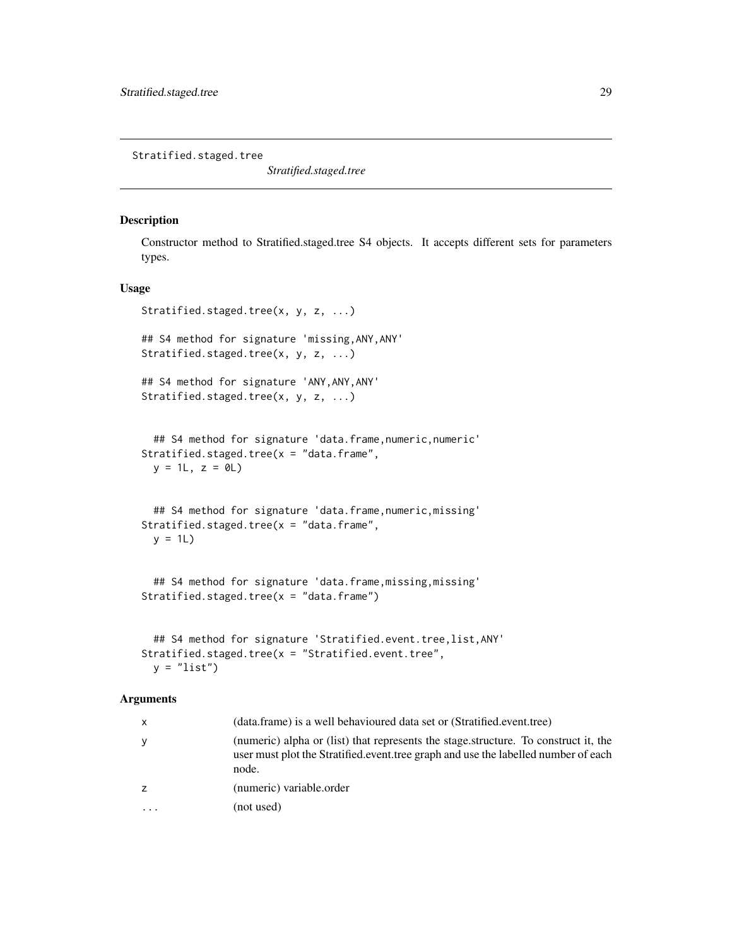<span id="page-28-0"></span>Stratified.staged.tree

*Stratified.staged.tree*

#### Description

Constructor method to Stratified.staged.tree S4 objects. It accepts different sets for parameters types.

### Usage

```
Stratified.staged.tree(x, y, z, ...)
## S4 method for signature 'missing,ANY,ANY'
Stratified.staged.tree(x, y, z, ...)
## S4 method for signature 'ANY,ANY,ANY'
Stratified.staged.tree(x, y, z, ...)
 ## S4 method for signature 'data.frame, numeric, numeric'
Stratified.staged.tree(x = "data-frame",y = 1L, z = 0L## S4 method for signature 'data.frame,numeric,missing'
Stratified.staged.tree(x = "data-frame",y = 1L## S4 method for signature 'data.frame, missing, missing'
Stratified.staged.tree(x = "data-frame")## S4 method for signature 'Stratified.event.tree,list,ANY'
Stratified.staged.tree(x = "Stratified.event.tree",
```

```
y = "list")
```
#### Arguments

| $\mathsf{x}$            | (data.frame) is a well behavioured data set or (Stratified.event.tree)                                                                                                             |
|-------------------------|------------------------------------------------------------------------------------------------------------------------------------------------------------------------------------|
| y                       | (numeric) alpha or (list) that represents the stage structure. To construct it, the<br>user must plot the Stratified.event.tree graph and use the labelled number of each<br>node. |
| z                       | (numeric) variable.order                                                                                                                                                           |
| $\cdot$ $\cdot$ $\cdot$ | (not used)                                                                                                                                                                         |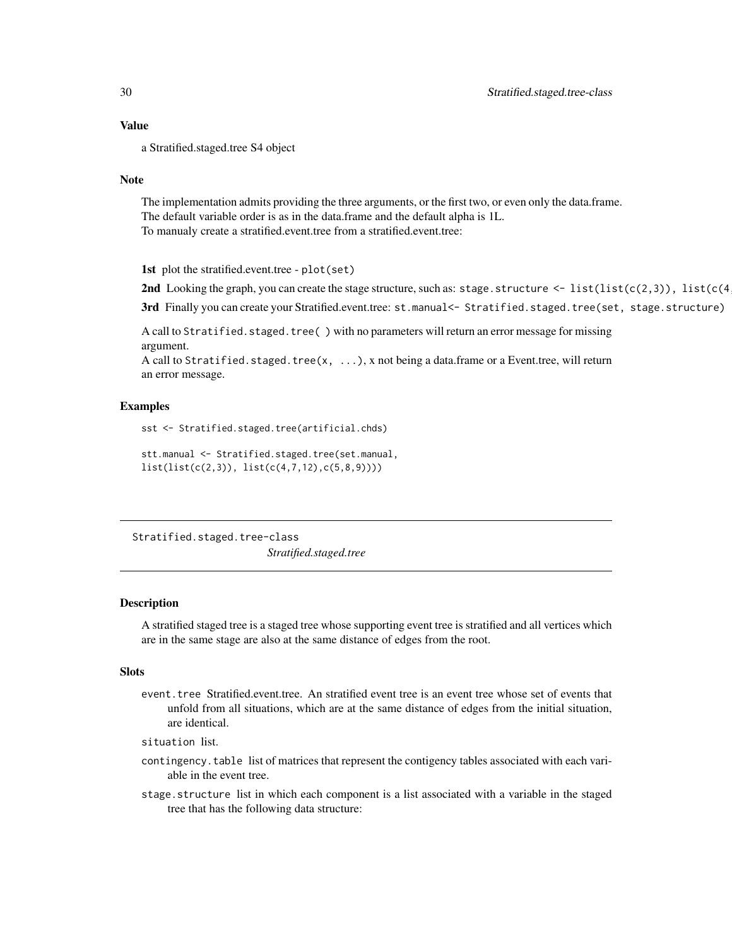<span id="page-29-0"></span>a Stratified.staged.tree S4 object

#### Note

The implementation admits providing the three arguments, or the first two, or even only the data.frame. The default variable order is as in the data.frame and the default alpha is 1L. To manualy create a stratified.event.tree from a stratified.event.tree:

1st plot the stratified.event.tree - plot(set)

2nd Looking the graph, you can create the stage structure, such as: stage.structure  $\leq$  list(list(c(2,3)), list(c(4)

3rd Finally you can create your Stratified.event.tree: st.manual<- Stratified.staged.tree(set, stage.structure)

A call to Stratified.staged.tree() with no parameters will return an error message for missing argument.

A call to Stratified. staged.tree(x,  $\dots$ ), x not being a data.frame or a Event.tree, will return an error message.

#### Examples

sst <- Stratified.staged.tree(artificial.chds)

```
stt.manual <- Stratified.staged.tree(set.manual,
list(list(c(2,3)), list(c(4,7,12),c(5,8,9))))
```
Stratified.staged.tree-class *Stratified.staged.tree*

#### Description

A stratified staged tree is a staged tree whose supporting event tree is stratified and all vertices which are in the same stage are also at the same distance of edges from the root.

#### **Slots**

- event.tree Stratified.event.tree. An stratified event tree is an event tree whose set of events that unfold from all situations, which are at the same distance of edges from the initial situation, are identical.
- situation list.
- contingency.table list of matrices that represent the contigency tables associated with each variable in the event tree.
- stage.structure list in which each component is a list associated with a variable in the staged tree that has the following data structure: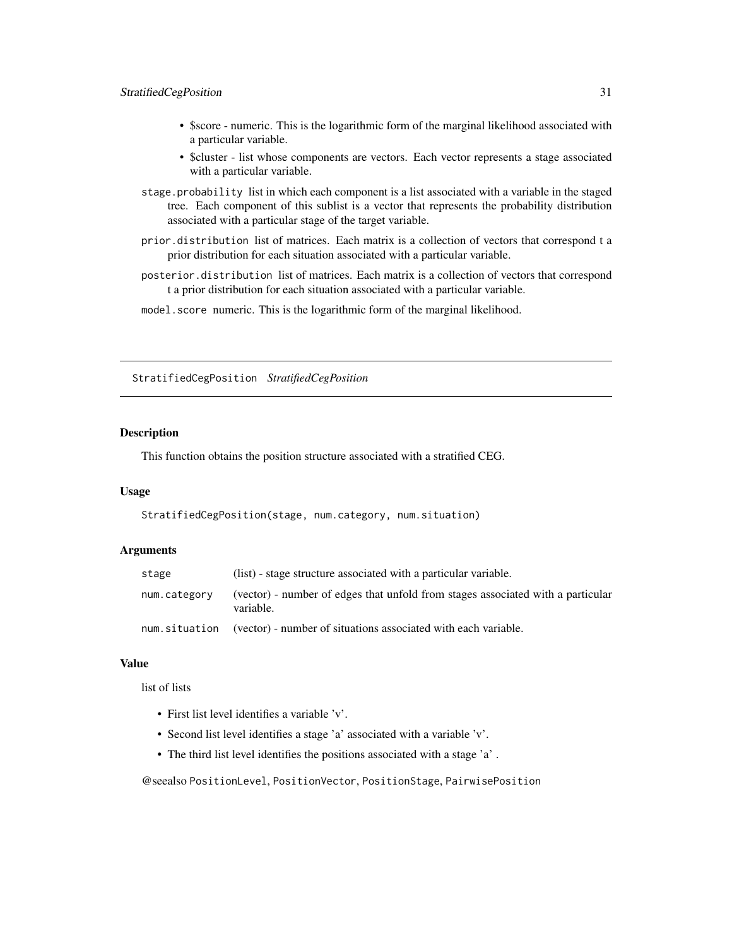### <span id="page-30-0"></span>StratifiedCegPosition 31

- \$score numeric. This is the logarithmic form of the marginal likelihood associated with a particular variable.
- \$cluster list whose components are vectors. Each vector represents a stage associated with a particular variable.
- stage.probability list in which each component is a list associated with a variable in the staged tree. Each component of this sublist is a vector that represents the probability distribution associated with a particular stage of the target variable.
- prior.distribution list of matrices. Each matrix is a collection of vectors that correspond t a prior distribution for each situation associated with a particular variable.
- posterior.distribution list of matrices. Each matrix is a collection of vectors that correspond t a prior distribution for each situation associated with a particular variable.
- model.score numeric. This is the logarithmic form of the marginal likelihood.

StratifiedCegPosition *StratifiedCegPosition*

### Description

This function obtains the position structure associated with a stratified CEG.

### Usage

StratifiedCegPosition(stage, num.category, num.situation)

#### **Arguments**

| stage        | (list) - stage structure associated with a particular variable.                              |
|--------------|----------------------------------------------------------------------------------------------|
| num.category | (vector) - number of edges that unfold from stages associated with a particular<br>variable. |
|              | num situation (vector) - number of situations associated with each variable.                 |

### Value

list of lists

- First list level identifies a variable 'v'.
- Second list level identifies a stage 'a' associated with a variable 'v'.
- The third list level identifies the positions associated with a stage 'a' .

@seealso PositionLevel, PositionVector, PositionStage, PairwisePosition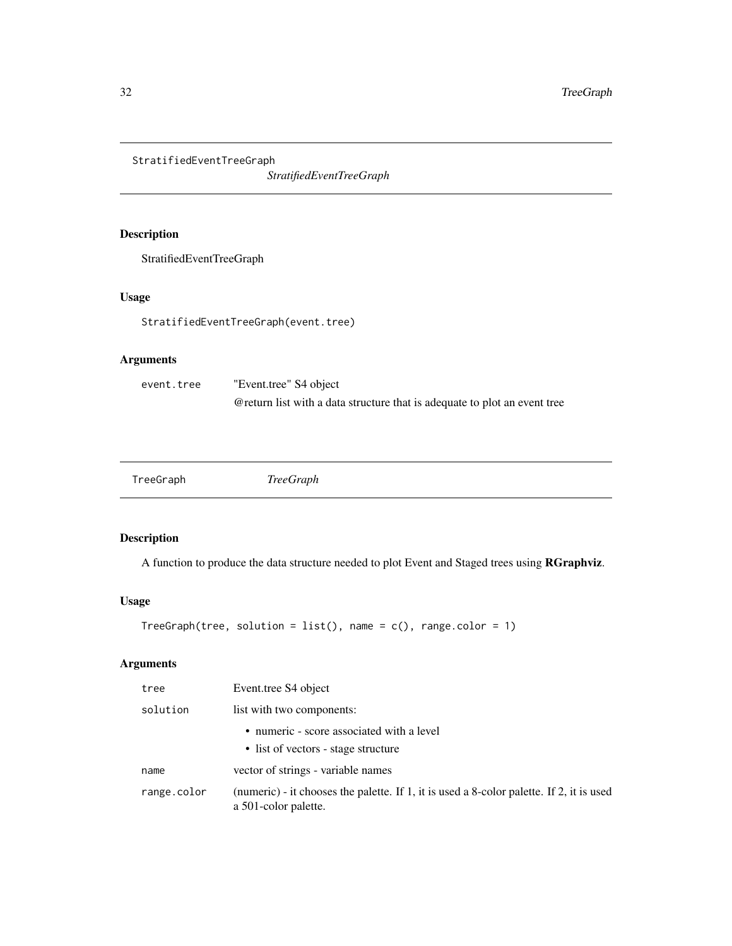<span id="page-31-0"></span>StratifiedEventTreeGraph

*StratifiedEventTreeGraph*

### Description

StratifiedEventTreeGraph

### Usage

StratifiedEventTreeGraph(event.tree)

### Arguments

| event.tree | "Event.tree" S4 object                                                     |
|------------|----------------------------------------------------------------------------|
|            | @ return list with a data structure that is adequate to plot an event tree |

| <b>TreeGraph</b><br>TreeGraph |
|-------------------------------|
|-------------------------------|

### Description

A function to produce the data structure needed to plot Event and Staged trees using RGraphviz.

### Usage

```
TreeGraph(tree, solution = list(), name = c(), range.color = 1)
```
### Arguments

| tree        | Event.tree S4 object                                                                                             |
|-------------|------------------------------------------------------------------------------------------------------------------|
| solution    | list with two components:                                                                                        |
|             | • numeric - score associated with a level<br>• list of vectors - stage structure                                 |
| name        | vector of strings - variable names                                                                               |
| range.color | (numeric) - it chooses the palette. If 1, it is used a 8-color palette. If 2, it is used<br>a 501-color palette. |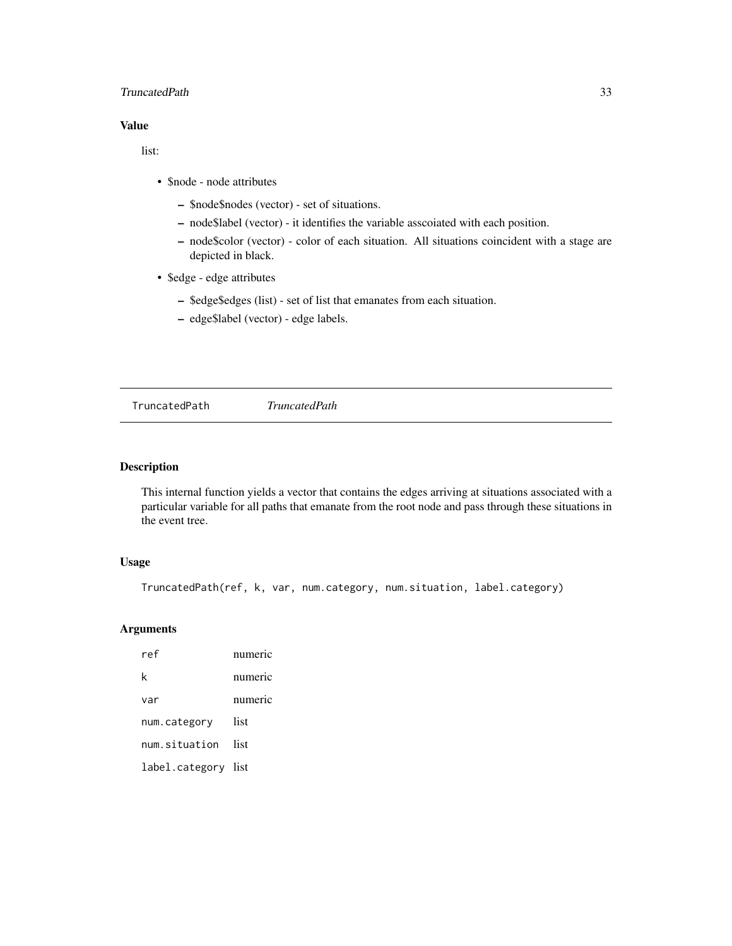### <span id="page-32-0"></span>TruncatedPath 33

### Value

list:

- \$node node attributes
	- \$node\$nodes (vector) set of situations.
	- node\$label (vector) it identifies the variable asscoiated with each position.
	- node\$color (vector) color of each situation. All situations coincident with a stage are depicted in black.
- \$edge edge attributes
	- \$edge\$edges (list) set of list that emanates from each situation.
	- edge\$label (vector) edge labels.

<span id="page-32-1"></span>TruncatedPath *TruncatedPath*

### Description

This internal function yields a vector that contains the edges arriving at situations associated with a particular variable for all paths that emanate from the root node and pass through these situations in the event tree.

### Usage

```
TruncatedPath(ref, k, var, num.category, num.situation, label.category)
```
#### Arguments

| ref                 | numeric |
|---------------------|---------|
| k                   | numeric |
| var                 | numeric |
| num.category        | list    |
| num.situation       | list    |
| label.category list |         |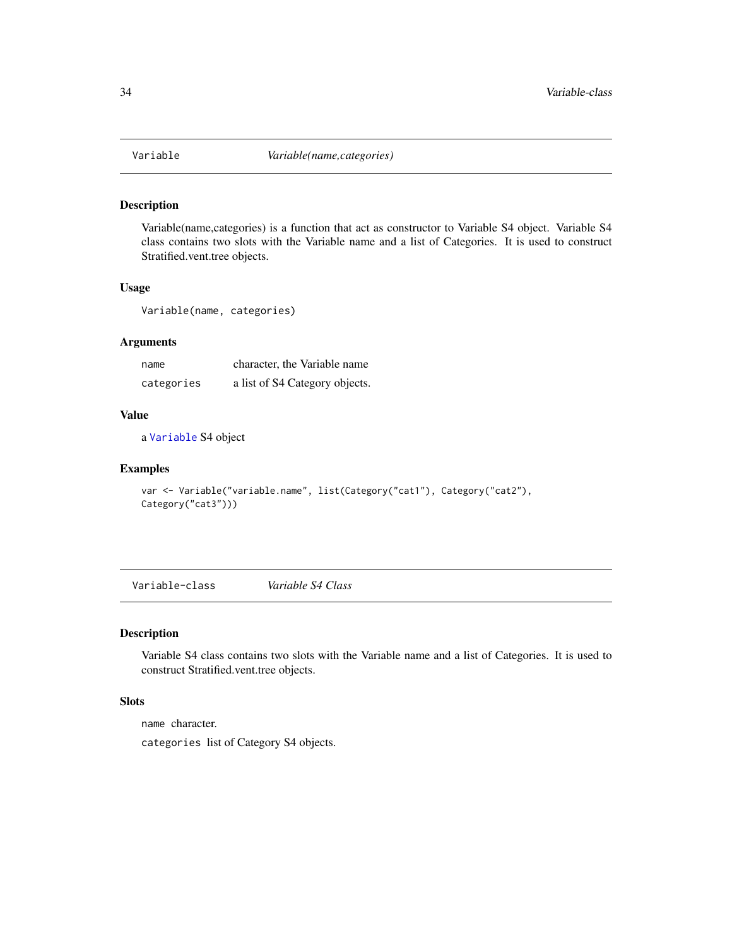<span id="page-33-1"></span><span id="page-33-0"></span>

### Description

Variable(name,categories) is a function that act as constructor to Variable S4 object. Variable S4 class contains two slots with the Variable name and a list of Categories. It is used to construct Stratified.vent.tree objects.

### Usage

Variable(name, categories)

### Arguments

| name       | character, the Variable name   |
|------------|--------------------------------|
| categories | a list of S4 Category objects. |

### Value

a [Variable](#page-33-1) S4 object

#### Examples

```
var <- Variable("variable.name", list(Category("cat1"), Category("cat2"),
Category("cat3")))
```
Variable-class *Variable S4 Class*

#### Description

Variable S4 class contains two slots with the Variable name and a list of Categories. It is used to construct Stratified.vent.tree objects.

### **Slots**

name character.

categories list of Category S4 objects.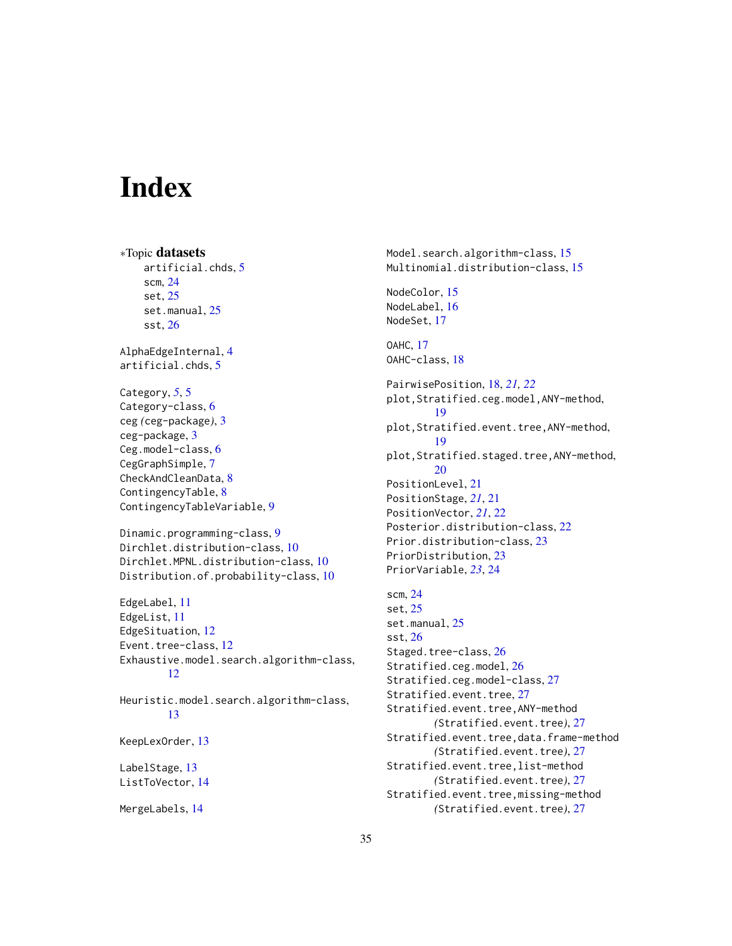# <span id="page-34-0"></span>Index

∗Topic datasets artificial.chds, [5](#page-4-0) scm, [24](#page-23-0) set, [25](#page-24-0) set.manual, [25](#page-24-0) sst, [26](#page-25-0) AlphaEdgeInternal, [4](#page-3-0) artificial.chds, [5](#page-4-0) Category, *[5](#page-4-0)*, [5](#page-4-0) Category-class, [6](#page-5-0) ceg *(*ceg-package*)*, [3](#page-2-0) ceg-package, [3](#page-2-0) Ceg.model-class, [6](#page-5-0) CegGraphSimple, [7](#page-6-0) CheckAndCleanData, [8](#page-7-0) ContingencyTable, [8](#page-7-0) ContingencyTableVariable, [9](#page-8-0) Dinamic.programming-class, [9](#page-8-0) Dirchlet.distribution-class, [10](#page-9-0) Dirchlet.MPNL.distribution-class, [10](#page-9-0) Distribution.of.probability-class, [10](#page-9-0) EdgeLabel, [11](#page-10-0) EdgeList, [11](#page-10-0) EdgeSituation, [12](#page-11-0) Event.tree-class, [12](#page-11-0) Exhaustive.model.search.algorithm-class, [12](#page-11-0) Heuristic.model.search.algorithm-class, [13](#page-12-0) KeepLexOrder, [13](#page-12-0) LabelStage, [13](#page-12-0) ListToVector, [14](#page-13-0)

MergeLabels, [14](#page-13-0)

Model.search.algorithm-class, [15](#page-14-0) Multinomial.distribution-class, [15](#page-14-0) NodeColor, [15](#page-14-0) NodeLabel, [16](#page-15-0) NodeSet, [17](#page-16-0) OAHC, [17](#page-16-0) OAHC-class, [18](#page-17-0) PairwisePosition, [18,](#page-17-0) *[21,](#page-20-0) [22](#page-21-0)* plot,Stratified.ceg.model,ANY-method, [19](#page-18-0) plot,Stratified.event.tree,ANY-method, [19](#page-18-0) plot,Stratified.staged.tree,ANY-method, [20](#page-19-0) PositionLevel, [21](#page-20-0) PositionStage, *[21](#page-20-0)*, [21](#page-20-0) PositionVector, *[21](#page-20-0)*, [22](#page-21-0) Posterior.distribution-class, [22](#page-21-0) Prior.distribution-class, [23](#page-22-0) PriorDistribution, [23](#page-22-0) PriorVariable, *[23](#page-22-0)*, [24](#page-23-0) scm, [24](#page-23-0) set, [25](#page-24-0) set.manual, [25](#page-24-0) sst, [26](#page-25-0) Staged.tree-class, [26](#page-25-0) Stratified.ceg.model, [26](#page-25-0) Stratified.ceg.model-class, [27](#page-26-0) Stratified.event.tree, [27](#page-26-0) Stratified.event.tree,ANY-method *(*Stratified.event.tree*)*, [27](#page-26-0) Stratified.event.tree,data.frame-method *(*Stratified.event.tree*)*, [27](#page-26-0) Stratified.event.tree,list-method *(*Stratified.event.tree*)*, [27](#page-26-0) Stratified.event.tree,missing-method *(*Stratified.event.tree*)*, [27](#page-26-0)